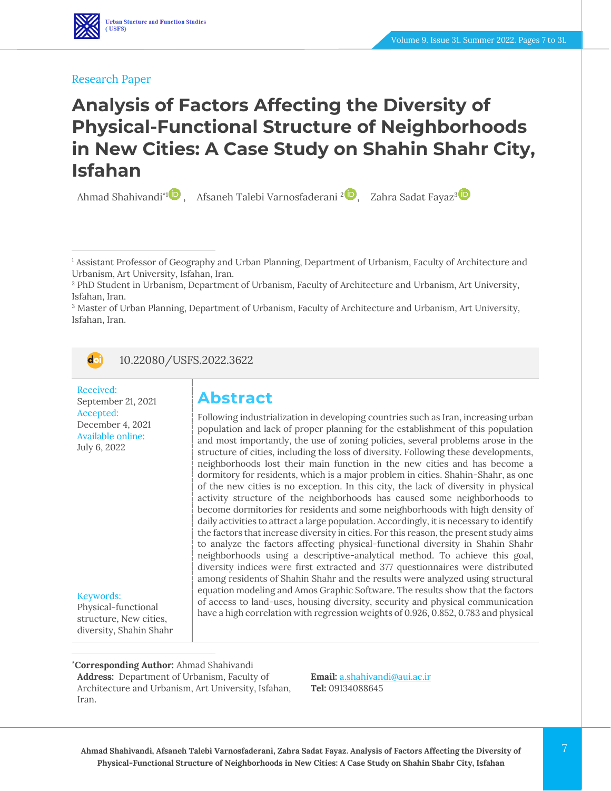#### Research Paper

# **Analysis of Factors Affecting the Diversity of Physical-Functional Structure of Neighborhoods in New Cities: A Case Study on Shahin Shahr City, Isfahan**

Ahmad Shahivandi $^{\text{4}}$  , Afsaneh Talebi Varnosfaderani <sup>[2](https://www.orcid.org/0000-0002-6723-4130)</sup> , Zahra Sadat Fayaz $^3$ 

<sup>3</sup> Master of Urban Planning, Department of Urbanism, Faculty of Architecture and Urbanism, Art University, Isfahan, Iran.



10.22080/USFS.2022.3622

Received: September 21, 2021 Accepted: December 4, 2021 Available online: July 6, 2022

#### Keywords:

Physical-functional structure, New cities, diversity, Shahin Shahr

## **Abstract**

Following industrialization in developing countries such as Iran, increasing urban population and lack of proper planning for the establishment of this population and most importantly, the use of zoning policies, several problems arose in the structure of cities, including the loss of diversity. Following these developments, neighborhoods lost their main function in the new cities and has become a dormitory for residents, which is a major problem in cities. Shahin-Shahr, as one of the new cities is no exception. In this city, the lack of diversity in physical activity structure of the neighborhoods has caused some neighborhoods to become dormitories for residents and some neighborhoods with high density of daily activities to attract a large population. Accordingly, it is necessary to identify the factors that increase diversity in cities. For this reason, the present study aims to analyze the factors affecting physical-functional diversity in Shahin Shahr neighborhoods using a descriptive-analytical method. To achieve this goal, diversity indices were first extracted and 377 questionnaires were distributed among residents of Shahin Shahr and the results were analyzed using structural equation modeling and Amos Graphic Software. The results show that the factors of access to land-uses, housing diversity, security and physical communication have a high correlation with regression weights of 0.926, 0.852, 0.783 and physical

#### **\*Corresponding Author:** Ahmad Shahivandi

**Address:** Department of Urbanism, Faculty of Architecture and Urbanism, Art University, Isfahan, Iran.

**Email:** [a.shahivandi@aui.ac.ir](file:///C:/Users/farha/Desktop/UFTS-01-1401/Temp/a.shahivandi@aui.ac.ir) **Tel:** 09134088645

<sup>1</sup> Assistant Professor of Geography and Urban Planning, Department of Urbanism, Faculty of Architecture and Urbanism, Art University, Isfahan, Iran.

<sup>2</sup> PhD Student in Urbanism, Department of Urbanism, Faculty of Architecture and Urbanism, Art University, Isfahan, Iran.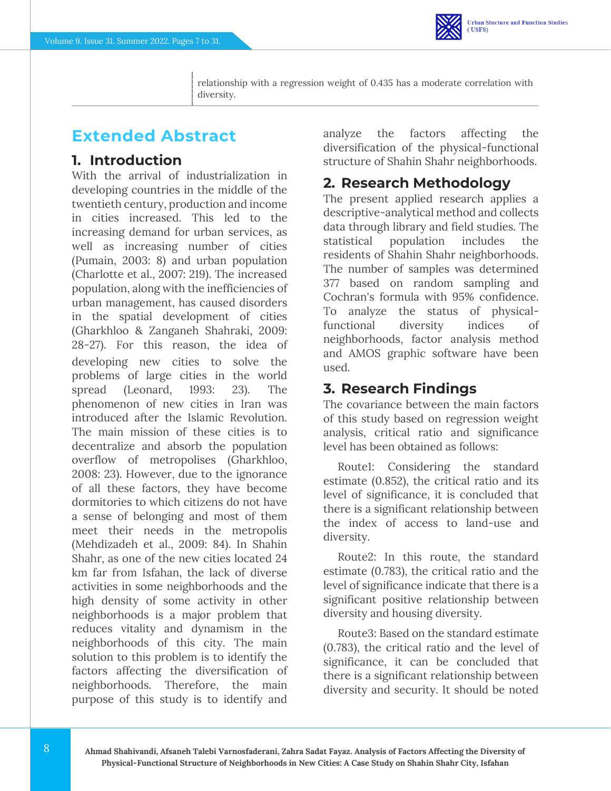

# **Extended Abstract**

## **1. Introduction**

With the arrival of industrialization in developing countries in the middle of the twentieth century, production and income in cities increased. This led to the increasing demand for urban services, as well as increasing number of cities (Pumain, 2003: 8) and urban population (Charlotte et al., 2007: 219). The increased population, along with the inefficiencies of urban management, has caused disorders in the spatial development of cities (Gharkhloo & Zanganeh Shahraki, 2009: 28-27). For this reason, the idea of developing new cities to solve the problems of large cities in the world spread (Leonard, 1993: 23). The phenomenon of new cities in Iran was introduced after the Islamic Revolution. The main mission of these cities is to decentralize and absorb the population overflow of metropolises (Gharkhloo, 2008: 23). However, due to the ignorance of all these factors, they have become dormitories to which citizens do not have a sense of belonging and most of them meet their needs in the metropolis (Mehdizadeh et al., 2009: 84). In Shahin Shahr, as one of the new cities located 24 km far from Isfahan, the lack of diverse activities in some neighborhoods and the high density of some activity in other neighborhoods is a major problem that reduces vitality and dynamism in the neighborhoods of this city. The main solution to this problem is to identify the factors affecting the diversification of neighborhoods. Therefore, the main purpose of this study is to identify and

analyze the factors affecting the diversification of the physical-functional structure of Shahin Shahr neighborhoods.

## **2. Research Methodology**

The present applied research applies a descriptive-analytical method and collects data through library and field studies. The statistical population includes the residents of Shahin Shahr neighborhoods. The number of samples was determined 377 based on random sampling and Cochran's formula with 95% confidence. To analyze the status of physicalfunctional diversity indices of neighborhoods, factor analysis method and AMOS graphic software have been used.

## **3. Research Findings**

The covariance between the main factors of this study based on regression weight analysis, critical ratio and significance level has been obtained as follows:

Route1: Considering the standard estimate (0.852), the critical ratio and its level of significance, it is concluded that there is a significant relationship between the index of access to land-use and diversity.

Route2: In this route, the standard estimate (0.783), the critical ratio and the level of significance indicate that there is a significant positive relationship between diversity and housing diversity.

Route3: Based on the standard estimate (0.783), the critical ratio and the level of significance, it can be concluded that there is a significant relationship between diversity and security. It should be noted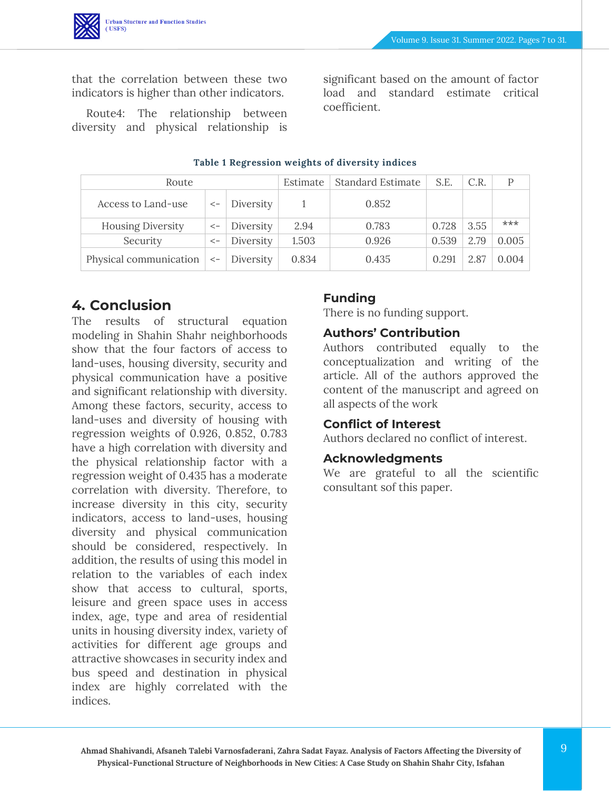

that the correlation between these two indicators is higher than other indicators.

Route4: The relationship between diversity and physical relationship is significant based on the amount of factor load and standard estimate critical coefficient.

| Route                    |                         |           | Estimate | <b>Standard Estimate</b> | S.E.  | C.R. |       |
|--------------------------|-------------------------|-----------|----------|--------------------------|-------|------|-------|
| Access to Land-use       |                         | Diversity |          | 0.852                    |       |      |       |
| <b>Housing Diversity</b> |                         | Diversity | 2.94     | 0.783                    | 0.728 | 3.55 | $***$ |
| Security                 | $\operatorname{\!<\!}-$ | Diversity | 1.503    | 0.926                    | 0.539 | 2.79 | 0.005 |
| Physical communication   | $\lt$ -                 | Diversity | 0.834    | 0.435                    | 0.291 | 2.87 | 0.004 |

#### **Table 1 Regression weights of diversity indices**

### **4. Conclusion**

The results of structural equation modeling in Shahin Shahr neighborhoods show that the four factors of access to land-uses, housing diversity, security and physical communication have a positive and significant relationship with diversity. Among these factors, security, access to land-uses and diversity of housing with regression weights of 0.926, 0.852, 0.783 have a high correlation with diversity and the physical relationship factor with a regression weight of 0.435 has a moderate correlation with diversity. Therefore, to increase diversity in this city, security indicators, access to land-uses, housing diversity and physical communication should be considered, respectively. In addition, the results of using this model in relation to the variables of each index show that access to cultural, sports, leisure and green space uses in access index, age, type and area of residential units in housing diversity index, variety of activities for different age groups and attractive showcases in security index and bus speed and destination in physical index are highly correlated with the indices.

#### **Funding**

There is no funding support.

#### **Authors' Contribution**

Authors contributed equally to the conceptualization and writing of the article. All of the authors approved the content of the manuscript and agreed on all aspects of the work

#### **Conflict of Interest**

Authors declared no conflict of interest.

#### **Acknowledgments**

We are grateful to all the scientific consultant sof this paper.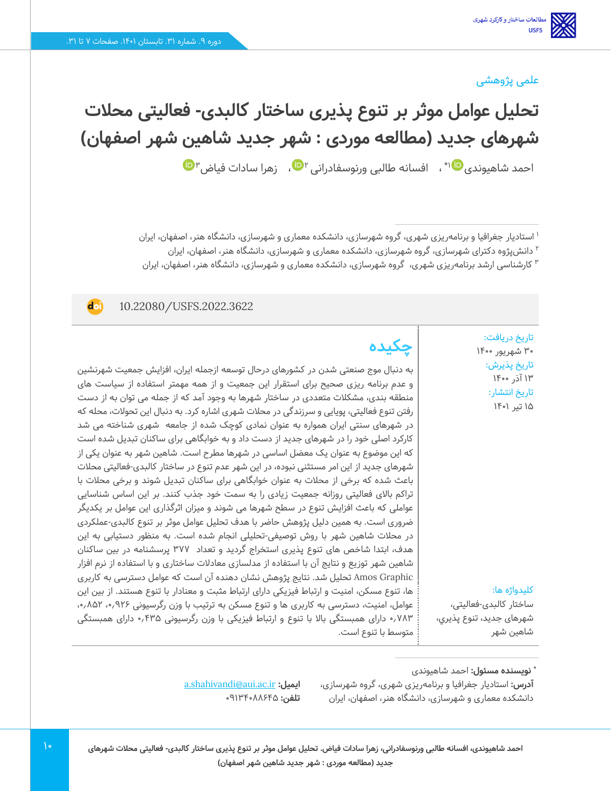### علمی پژوهشی

**تحلیل عوامل موثر بر تنوع پذیری ساختار کالبدی- فعالیتی محالت شهرهای جدید )مطالعه موردی : شهر جدید شاهین شهر اصفهان(**  احمد شاهیوندی $\Psi$ ۱\* ، افسانه طالبی ورنوسفادرانی ۲ $\Psi$ ۱، زهرا سادات فیاض

1 استادیار جغرافیا و برنامهریزی شهری، گروه شهرسازی، دانشکده معماری و شهرسازی، دانشگاه هنر، اصفهان، ایران <sup>۲</sup> دانشپژوه دکترای شهرسازی، گروه شهرسازی، دانشکده معماری و شهرسازی، دانشگاه هنر، اصفهان، ایران ارشد برنامهریزی شهری، گروه شهرسازی، دانشکده معماری و شهرسازی، دانشگاه هنر، اصفهان، ایران <sup>3</sup> کارشناسی

#### 10.22080/USFS.2022.3622

doi

تاریخ دریافت: 30 شهریور 1400 تاریخ پذیرش : ۱۴ آذر ۱۴۰۰ تاریخ انتشار: 15 تیر 1401

**چکیده**

به دنبال موج صنعتی شدن در کشورهای درحال توسعه ازجمله ایران، افزایش جمعیت شهرنشین و عدم برنامه ریزی صحیح برای استقرار این جمعیت و از همه مهمتر استفاده از سیاست های منطقه بندی، مشکالت متعددی در ساختار شهرها به وجود آمد که از جمله می توان به از دست رفتن تنوع فعالیتی، پویایی و سرزندگی در محالت شهری اشاره کرد. به دنبال این تحوالت، محله که در شهرهای سنتی ایران همواره به عنوان نمادی کوچک شده از جامعه شهری شناخته می شد کارکرد اصلی خود را در شهرهای جدید از دست داد و به خوابگاهی برای ساکنان تبدیل شده است که این موضوع به عنوان یک معضل اساسی در شهرها مطرح است. شاهین شهر به عنوان یکی از شهرهای جدید از این امر مستثنی نبوده، در این شهر عدم تنوع در ساختار کالبدی-فعالیتی محالت باعث شده که برخی از محالت به عنوان خوابگاهی برای ساکنان تبدیل شوند و برخی محالت با تراکم باالی فعالیتی روزانه جمعیت زیادی را به سمت خود جذب کنند. بر این اساس شناسایی عواملی که باعث افزایش تنوع در سطح شهرها می شوند و میزان اثرگذاری این عوامل بر یکدیگر ضروری است. به همین دلیل پژوهش حاضر با هدف تحلیل عوامل موثر بر تنوع کالبدی-عملکردی در محالت شاهین شهر با روش توصیفی-تحلیلی انجام شده است. به منظور دستیابی به این هدف، ابتدا شاخص های تنوع پذیری استخراج گردید و تعداد 377 پرسشنامه در بین ساکنان شاهین شهر توزیع و نتایج آن با استفاده از مدلسازی معادالت ساختاری و با استفاده از نرم افزار Graphic Amos تحلیل شد. نتایج پژوهش نشان دهنده آن است که عوامل دسترسی به کاربری ها، تنوع مسکن، امنیت و ارتباط فیزیکی دارای ارتباط مثبت و معنادار با تنوع هستند. از بین این عوامل، امنیت، دسترسی به کاربری ها و تنوع مسکن به ترتیب با وزن رگرسیونی ۹۲۶٫۰، ۸۵۲٫۰٫ 0.783 دارای همبستگی باال با تنوع و ارتباط فیزیکی با وزن رگرسیونی 0.435 دارای همبستگی متوسط با تنوع است.

کلیدواژه ها:

ساختار کالبدی-فعالیتی، شهرهای جدید، تنوع پذيري، شاهين شهر

**:** احمد شاهیوند ی **\* نویسنده مسئول**

**آدرس:** استادیار جغرافیا و برنامهریزی شهری، گروه شهرسازی، دانشکده معماری و شهرسازی، دانشگاه هنر، اصفهان، ایران

[a.shahivandi@aui.ac.ir](file:///C:/Users/farha/Desktop/UFTS-01-1401/Temp/a.shahivandi@aui.ac.ir) **:ایمیل تلفن: 091846×1146**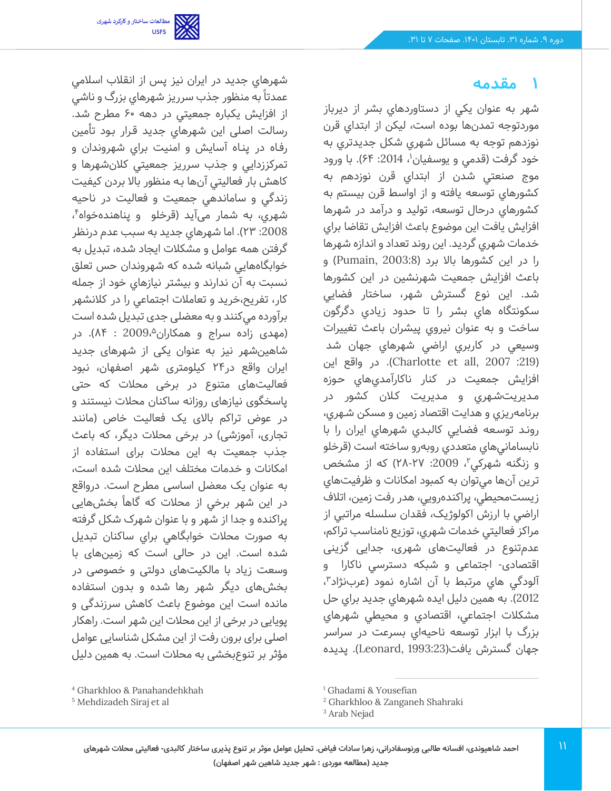

شهرهاي جديد در ايران نیز پس از انقالب اسالمي

### **1 مقدمه**

شهر به عنوان يکي از دستاوردهاي بشر از ديرباز موردتوجه تمدن ها بوده است، ليکن از ابتداي قرن نوزدهم توجه به مسائل شهري شکل جديدتري به خود گرفت (قدمی و يوسفيان'، 2014: ۶۴). با ورود موج صنعتي شدن از ابتداي قرن نوزدهم به کشورهاي توسعه يافته و از اواسط قرن بيستم به کشورهاي درحال توسعه، توليد و درآمد در شهرها افزايش يافت اين موضوع باعث افزايش تقاضا براي خدمات شهري گرديد. اين روند تعداد و اندازه شهرها را در اين کشورها باال برد ) 2003:8 ,Pumain )و باعث افزايش جمعيت شهرنشين در اين کشورها شد. اين نوع گسترش شهر، ساختار فضايي سکونتگاه هاي بشر را تا حدود زيادي دگرگون ساخت و به عنوان نيروي پيشران باعث تغييرات وسيعي در کاربري اراضي شهرهاي جهان شد ):219 2007 ,all et Charlotte). در واقع اين افزايش جمعيت در كنار ناكارآمديهاي حـوزه مـديريتشـهري و مـديريت كـالن كشور در برنامهريزي و هدايت اقتصاد زمين و مسكن شـهري، رونـد توسـعه فضـايي كالبـدي شهرهاي ايران را با نابساماني هاي متعددي روبه رو ساخته است )قرخلو و زنگنه شهرکی ٌ، 2009: ۲۸-۲۷) که از مشخص ترين آنها ميتوان به کمبود امکانات و ظرفيت هاي زيستمحيطي، پراکندهرويي، هدر رفت زمين، اتالف اراضي با ارزش اکولوژيک، فقدان سلسله مراتبي از مراکز فعاليتي خدمات شهري، توزيع نامناسب تراکم، عدمتنوع در فعالیتهای شهری، جدایی گزینی اقتصادی- اجتماعی و شبكه دسترسي ناکارا و آلودگي هاي مرتبط با آن اشاره نمود (عربنژاد<sup>۳</sup>، 2012(. به همین دلیل ایده شهرهاي جديد براي حل مشكالت اجتماعي، اقتصادي و محيطي شهرهاي بزرگ با ابزار توسعه ناحيهاي بسرعت در سراسر جهان گسترش يافت)1993:23 ,Leonard). پديده

عمدتا به منظور جذب سرريز شهرهاي بزرگ و ناشي از افزايش يكباره جمعيتي در دهه 60 مطرح شد. رسالت اصلی این شهرهاي جديد قـرار بـود تأمین رفـاه در پنـاه آسايش و امنيت براي شهروندان و تمركززدايي و جذب سرريز جمعيتي كالنشهرها و كاهش بار فعاليتي آنها بـه منظور باال بردن كيفيت زندگي و ساماندهي جمعيت و فعاليت در ناحيه شهري، به شمار میآید (قرخلو و پناهندهخواه<sup>۴</sup>، :2008 23(. اما شهرهاي جديد به سبب عدم درنظر گرفتن همه عوامل و مشكالت ایجاد شده، تبديل به خوابگاه هايي شبانه شده كه شهروندان حس تعلق نسبت به آن ندارند و بیشتر نيازهاي خود از جمله كار، تفريح،خريد و تعامالت اجتماعي را در کالنشهر برآورده ميكنند و به معضلی جدی تبدیل شده است (مهدی زاده سراج و همکاران $2009.^\circ$  : ۸۴). در شاهینشهر نیز به عنوان یکی از شهرهای جدید ایران واقع در 24 کیلومتری شهر اصفهان، نبود فعالیتهای متنوع در برخی محالت که حتی پاسخگوی نیازهای روزانه ساکنان محالت نیستند و در عوض تراکم باالی یک فعالیت خاص )مانند تجاری، آموزشی) در برخی محلات دیگر، که باعث جذب جمعیت به این محالت برای استفاده از امکانات و خدمات مختلف این محالت شده است، به عنوان یک معضل اساسی مطرح است. درواقع در این شهر برخی از محلات که گاهاً بخشهایی پراکنده و جدا از شهر و با عنوان شهرک شکل گرفته به صورت محالت خوابگاهي براي ساکنان تبديل شده است. این در حالی است که زمینهای با وسعت زیاد با مالکیتهای دولتی و خصوصی در بخشهای دیگر شهر رها شده و بدون استفاده مانده است این موضوع باعث کاهش سرزندگی و پویایی در برخی از این محالت این شهر است. راهکار اصلی برای برون رفت از این مشکل شناسایی عوامل مؤثر بر تنوعبخشی به محالت است. به همين دليل

<sup>4</sup> Gharkhloo & Panahandehkhah

<sup>5</sup> Mehdizadeh Siraj et al

<sup>&</sup>lt;sup>1</sup> Ghadami & Yousefian

<sup>2</sup> Gharkhloo & Zanganeh Shahraki

<sup>&</sup>lt;sup>3</sup> Arab Nejad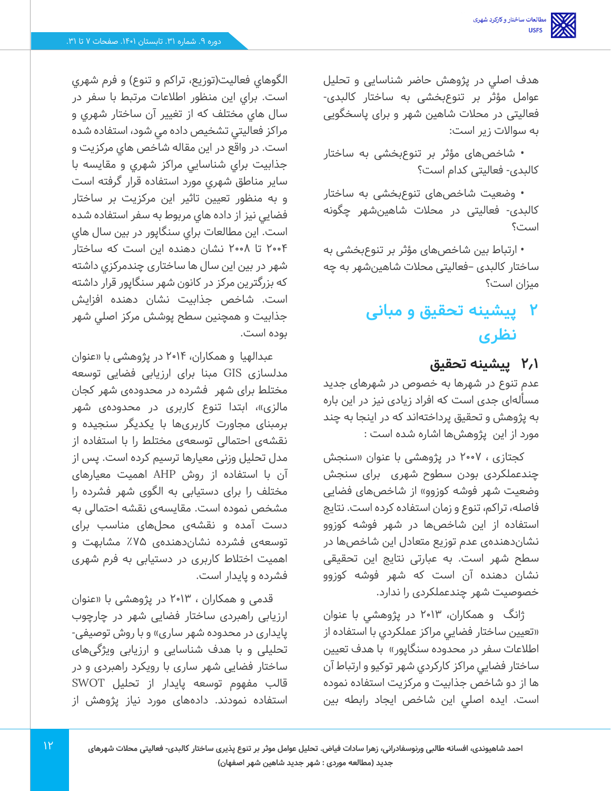هدف اصلي در پژوهش حاضر شناسایی و تحلیل عوامل مؤثر بر تنوع بخشی به ساختار کالبدی- فعالیتی در محالت شاهین شهر و برای پاسخگویی به سواالت زیر است:

• شاخصهای مؤثر بر تنوع بخشی به ساختار کالبدی- فعالیتی کدام است؟

• وضعیت شاخصهای تنوعبخشی به ساختار کالبدی- فعالیتی در محالت شاهینشهر چگونه است؟

• ارتباط بین شاخص های مؤثر بر تنوعبخشی به ساختار کالبدی –فعالیتی محالت شاهینشهر به چه میزان است؟

# **2 پیشینه تحقیق و مبانی نظری**

## **2.1 پیشینه تحقیق**

عدم تنوع در شهرها به خصوص در شهرهای جدید مسألهای جدی است که افراد زیادی نیز در این باره به پژوهش و تحقیق پرداخته اند که در اینجا به چند مورد از این پژوهشها اشاره شده است :

کجتازی ، 2007 در پژوهشی با عنوان »سنجش چندعملکردی بودن سطوح شهری برای سنجش وضعیت شهر فوشه کوزوو» از شاخصهای فضایی فاصله، تراکم، تنوع و زمان استفاده کرده است. نتایج استفاده از این شاخصها در شهر فوشه کوزوو نشان دهندهی عدم توزیع متعادل این شاخصها در سطح شهر است. به عبارتی نتایج این تحقیقی نشان دهنده آن است که شهر فوشه کوزوو خصوصیت شهر چندعملکردی را ندارد.

ژانگ و همکاران، 2013 در پژوهشي با عنوان »تعيين ساختار فضايي مراکز عملکردي با استفاده از اطلاعات سفر در محدوده سنگاپور» با هدف تعيين ساختار فضايي مراکز کارکردي شهر توکيو و ارتباط آن ها از دو شاخص جذابيت و مرکزيت استفاده نموده است. ايده اصلي اين شاخص ايجاد رابطه بين

الگوهاي فعاليت(توزيع، تراکم و تنوع) و فرم شهري است. براي اين منظور اطالعات مرتبط با سفر در سال هاي مختلف که از تغيير آن ساختار شهري و مراکز فعاليتي تشخيص داده مي شود، استفاده شده است. در واقع در اين مقاله شاخص هاي مرکزيت و جذابيت براي شناسايي مراکز شهري و مقايسه با ساير مناطق شهري مورد استفاده قرار گرفته است و به منظور تعيين تاثير اين مرکزيت بر ساختار فضايي نيز از داده هاي مربوط به سفر استفاده شده است. اين مطالعات براي سنگاپور در بين سال هاي 2004 تا 2008 نشان دهنده اين است که ساختار شهر در بين این سال ها ساختاری چندمرکزي داشته که بزرگترين مرکز در کانون شهر سنگاپور قرار داشته است. شاخص جذابيت نشان دهنده افزايش جذابيت و همچنين سطح پوشش مرکز اصلي شهر بوده است.

عبدالهیا و همکاران، 2014 در پژوهشی با »عنوان مدلسازی GIS مبنا برای ارزیابی فضایی توسعه مختلط برای شهرفشرده در محدودهی شهر کجان مالزی»، ابتدا تنوع کاربری در محدودهی شهر برمبنای مجاورت کاربریها با یکدیگر سنجیده و نقشهی احتمالی توسعهی مختلط را با استفاده از مدل تحلیل وزنی معیارها ترسیم کرده است. پس از آن با استفاده از روش AHP اهمیت معیارهای مختلف را برای دستیابی به الگوی شهر فشرده را مشخص نموده است. مقایسهی نقشه احتمالی به دست آمده و نقشهی محلهای مناسب برای توسعهی فشرده نشان دهندهی %75 مشابهت و اهمیت اختالط کاربری در دستیابی به فرم شهری فشرده و پایدار است.

قدمی و همکاران ، 2013 در پژوهشی با »عنوان ارزیابی راهبردی ساختار فضایی شهر در چارچوب پایداری در محدوده شهر ساری» و با روش توصیفی-تحلیلی و با هدف شناسایی و ارزیابی ویژگی های ساختار فضایی شهر ساری با رویکرد راهبردی و در قالب مفهوم توسعه پایدار از تحلیل SWOT استفاده نمودند. داده های مورد نیاز پژوهش از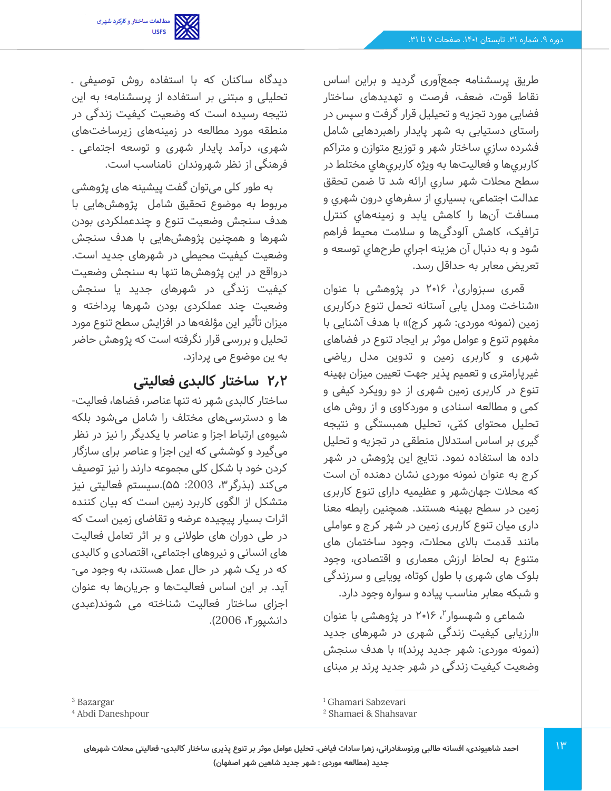

طریق پرسشنامه جمع آوری گردید و براین اساس نقاط قوت، ضعف، فرصت و تهدیدهای ساختار فضایی مورد تجزیه و تحیلیل قرار گرفت و سپس در راستای دستیابی به شهر پایدار راهبردهایی شامل فشرده سازي ساختار شهر و توزيع متوازن و متراكم كاربري ها و فعاليت ها به ويژه كاربري هاي مختلط در سطح محالت شهر ساري ارائه شد تا ضمن تحقق عدالت اجتماعی، بسياري از سفرهاي درون شهري و مسافت آن ها را كاهش یابد و زمينههاي كنترل ترافيک، كاهش آلودگی ها و سالمت محيط فراهم شود و به دنبال آن هزينه اجراي طرح هاي توسعه و تعريض معابر به حداقل رسد.

قمری سبزواری<sup>٬</sup>، ۲۰۱۶ در پژوهشی با عنوان »شناخت ومدل یابی آستانه تحمل تنوع درکاربری زمین (نمونه موردی: شهر کرج)» با هدف آشنایی با مفهوم تنوع و عوامل موثر بر ایجاد تنوع در فضاهای شهری و کاربری زمین و تدوین مدل ریاضی غیرپارامتری و تعمیم پذیر جهت تعیین میزان بهینه تنوع در کاربری زمین شهری از دو رویکرد کیفی و کمی و مطالعه اسنادی و موردکاوی و از روش های تحلیل محتوای کمّی، تحلیل همبستگی و نتیجه گیری بر اساس استدالل منطقی در تجزیه و تحلیل داده ها استفاده نمود. نتایج این پژوهش در شهر کرج به عنوان نمونه موردی نشان دهنده آن است که محالت جهانشهر و عظیمیه دارای تنوع کاربری زمین در سطح بهینه هستند. همچنین رابطه معنا داری میان تنوع کاربری زمین در شهر کرج و عواملی مانند قدمت باالی محالت، وجود ساختمان های متنوع به لحاظ ارزش معماری و اقتصادی، وجود بلوک های شهری با طول کوتاه، پویایی و سرزندگی و شبکه معابر مناسب پیاده و سواره وجود دارد.

شماعی و شهسوار<sup>۲</sup>، ۲۰۱۶ در پژوهشی با عنوان »ارزیابی کیفیت زندگی شهری در شهرهای جدید (نمونه موردی: شهر جدید پرند)» با هدف سنجش وضعیت کیفیت زندگی در شهر جدید پرند بر مبنای

دیدگاه ساکنان که با استفاده روش توصیفی ـ تحلیلی و مبتنی بر استفاده از پرسشنامه؛ به این نتیجه رسیده است که وضعیت کیفیت زندگی در منطقه مورد مطالعه در زمینههای زیرساختهای شهری، درآمد پایدار شهری و توسعه اجتماعی ـ فرهنگی از نظر شهروندان نامناسب است.

به طور کلی میتوان گفت پیشینه های پژوهشی مربوط به موضوع تحقیق شامل پژوهش هایی با هدف سنجش وضعیت تنوع و چندعملکردی بودن شهرها و همچنین پژوهش هایی با هدف سنجش وضعیت کیفیت محیطی در شهرهای جدید است. درواقع در این پژوهش ها تنها به سنجش وضعیت کیفیت زندگی در شهرهای جدید یا سنجش وضعیت چند عملکردی بودن شهرها پرداخته و میزان تأثیر این مؤلفهها در افزایش سطح تنوع مورد تحلیل و بررسی قرار نگرفته است که پژوهش حاضر به ین موضوع می پردازد.

## **2.2 ساختار کالبدی فعالیتی**

ساختار کالبدی شهر نه تنها عناصر، فضاها، فعالیت- ها و دسترسی های مختلف را شامل میشود بلکه شیوهی ارتباط اجزا و عناصر با یکدیگر را نیز در نظر میگیرد و کوششی که این اجزا و عناصر برای سازگار کردن خود با شکل کلی مجموعه دارند را نیز توصیف میکند (بذرگر ۳، 2003: ۵۵).سیستم فعالیتی نیز متشکل از الگوی کاربرد زمین است که بیان کننده اثرات بسیار پیچیده عرضه و تقاضای زمین است که در طی دوران های طوالنی و بر اثر تعامل فعالیت های انسانی و نیروهای اجتماعی، اقتصادی و کالبدی که در یک شهر در حال عمل هستند، به وجود می - آید. بر این اساس فعالیت ها و جریانها به عنوان اجزای ساختار فعالیت شناخته می شوند) عبدی دانشپور ۴، 2006).

<sup>3</sup> Bazargar

<sup>4</sup> Abdi Daneshpour

<sup>1</sup> Ghamari Sabzevari

<sup>2</sup> Shamaei & Shahsavar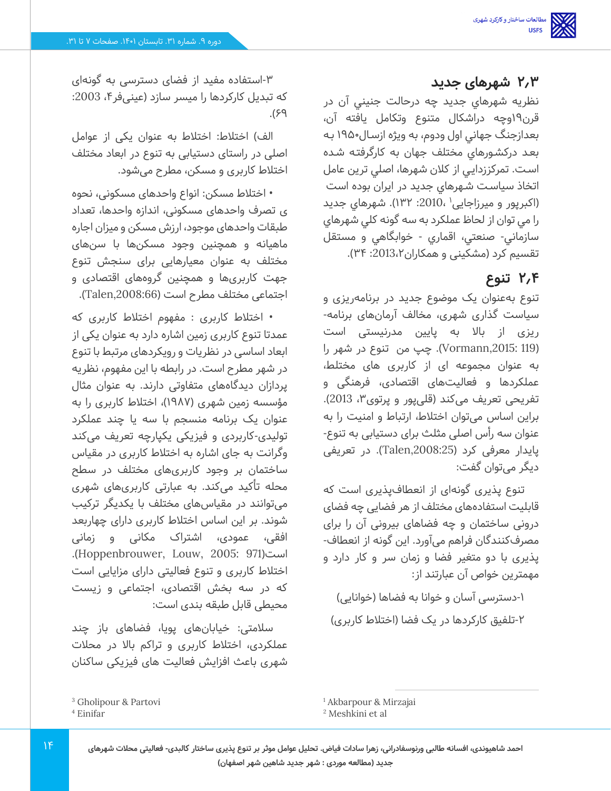## **2.3 شهرهای جدید**

نظريه شهرهاي جديد چه درحالت جنيني آن در قرن19وچه دراشكال متنوع وتكامل يافته آن، بعدازجنگ جهاني اول ودوم، به ويژه ازسـال 1950 بـه بعـد دركشـورهاي مختلف جهان به كارگرفتـه شـده اسـت. تمركززدايـي از كالن شهرها، اصلي ترين عامل اتخاذ سياسـت شـهرهاي جديد در ايران بوده است (اکبرپور و میرزاجایی' ،2010: ۱۳۲). شهرهای جدید را مي توان از لحاظ عملكرد به سه گونه كلي شهرهاي سازماني- صنعتي، اقماري - خوابگاهي و مستقل تقسیم کرد (مشکینی و همکاران2013،۲۴).

## **2.4 تنوع**

تنوع بهعنوان یک موضوع جدید در برنامهریزی و سیاست گذاری شهری، مخالف آرمانهای برنامه- ریزی از باال به پایین مدرنیستی است )119 ,2015:Vormann). چپ من تنوع در شهر را به عنوان مجموعه ای از کاربری های مختلط، عملکردها و فعالیتهای اقتصادی، فرهنگی و تفریحی تعریف میکند (قلی پور و پرتوی۳، 2013). براین اساس میتوان اختالط، ارتباط و امنیت را به عنوان سه رأس اصلی مثلث برای دستیابی به تنوع- پایدار معرفی کرد ) ,2008:25Talen). در تعریفی دیگر مے،توان گفت:

تنوع پذیری گونهای از انعطافپذیری است که قابلیت استفادههای مختلف از هر فضایی چه فضای درونی ساختمان و چه فضاهای بیرونی آن را برای مصرفکنندگان فراهم میآورد. این گونه از انعطاف- پذیری با دو متغیر فضا و زمان سر و کار دارد و مهمترین خواص آن عبارتند از:

-1 دسترسی آسان و خوانا به فضاها )خوانایی(

-2تلفیق کارکردها در یک فضا )اختالط کاربری(

-3استفاده مفید از فضای دسترسی به گونهای که تبدیل کارکردها را میسر سازد (عینیفر ۴، 2003:  $P<sup>2</sup>$ .

الف) اختلاط: اختلاط به عنوان یکی از عوامل اصلی در راستای دستیابی به تنوع در ابعاد مختلف اختالط کاربری و مسکن، مطرح میشود.

• اختالط مسکن: انواع واحدهای مسکونی، نحوه ی تصرف واحدهای مسکونی، اندازه واحدها، تعداد طبقات واحدهای موجود، ارزش مسکن و میزان اجاره ماهیانه و همچنین وجود مسکن ها با سن های مختلف به عنوان معیارهایی برای سنجش تنوع جهت کاربریها و همچنین گروه های اقتصادی و اجتماعی مختلف مطرح است ),2008:66Talen).

• اختالط کاربری : مفهوم اختالط کاربری که عمدتا تنوع کاربری زمین اشاره دارد به عنوان یکی از ابعاد اساسی در نظریات و رویکردهای مرتبط با تنوع در شهر مطرح است. در رابطه با این مفهوم، نظریه پردازان دیدگاههای متفاوتی دارند. به عنوان مثال مؤسسه زمین شهری )1987(، اختالط کاربری را به عنوان یک برنامه منسجم با سه یا چند عملکرد تولیدی-کاربردی و فیزیکی یکپارچه تعریف می کند وگرانت به جای اشاره به اختالط کاربری در مقیاس ساختمان بر وجود کاربریهای مختلف در سطح محله تأکید میکند. به عبارتی کاربریهای شهری میتوانند در مقیاسهای مختلف با یکدیگر ترکیب شوند. بر این اساس اختالط کاربری دارای چهاربعد افقی، عمودی، اشتراک مکانی و زمانی .)Hoppenbrouwer, Louw, 2005: 971(است اختالط کاربری و تنوع فعالیتی دارای مزایایی است که در سه بخش اقتصادی، اجتماعی و زیست محیطی قابل طبقه بندی است:

سالمتی: خیابانهای پویا، فضاهای باز چند عملکردی، اختالط کاربری و تراکم باال در محالت شهری باعث افزایش فعالیت های فیزیکی ساکنان

<sup>1</sup> Akbarpour & Mirzajai

<sup>3</sup> Gholipour & Partovi

<sup>4</sup> Einifar

<sup>2</sup> Meshkini et al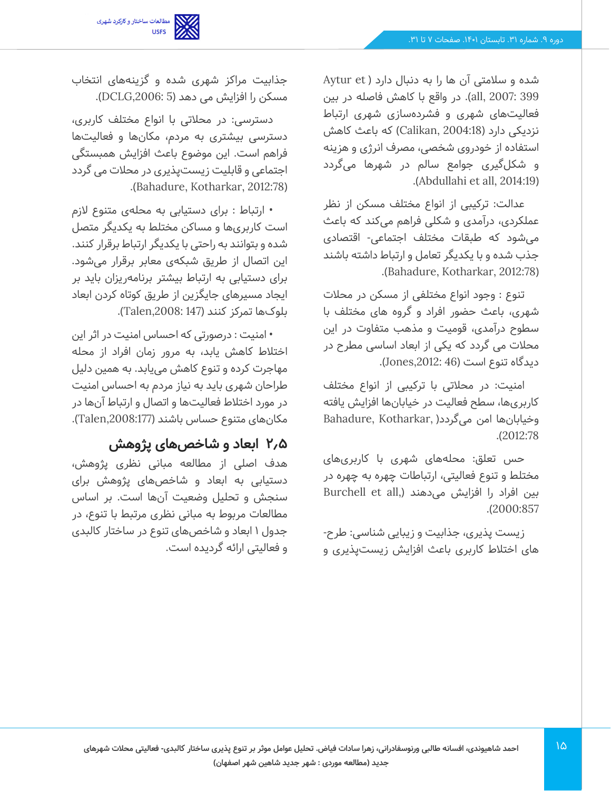

شده و سلامتی آن ها را به دنبال دارد ( Aytur et 399 2007: ,all). در واقع با کاهش فاصله در بین فعالیتهای شهری و فشردهسازی شهری ارتباط نزدیکی دارد (Calikan, 2004:18) که باعث کاهش استفاده از خودروی شخصی، مصرف انرژی و هزینه و شکلگیری جوامع سالم در شهرها میگردد .)Abdullahi et all, 2014:19(

عدالت: ترکیبی از انواع مختلف مسکن از نظر عملکردی، درآمدی و شکلی فراهم می کند که باعث میشود که طبقات مختلف اجتماعی- اقتصادی جذب شده و با یکدیگر تعامل و ارتباط داشته باشند .)Bahadure, Kotharkar, 2012:78(

تنوع : وجود انواع مختلفی از مسکن در محالت شهری، باعث حضور افراد و گروه های مختلف با سطوح درآمدی، قومیت و مذهب متفاوت در این محالت می گردد که یکی از ابعاد اساسی مطرح در دیدگاه تنوع است )46 ,2012:Jones).

امنیت: در محالتی با ترکیبی از انواع مختلف کاربریها، سطح فعالیت در خیابانها افزایش یافته وخیابانها امن میگردد) ,Kotharkar ,Bahadure .)2012:78

حس تعلق: محلههای شهری با کاربریهای مختلط و تنوع فعالیتی، ارتباطات چهره به چهره در بین افراد را افزایش می دهند (,Burchell et all .)2000:857

زیست پذیری، جذابیت و زیبایی شناسی: طرح - های اختالط کاربری باعث افزایش زیستپذیری و

جذابیت مراکز شهری شده و گزینههای انتخاب مسکن را افزایش می دهد (DCLG,2006: 5).

دسترسی: در محالتی با انواع مختلف کاربری، دسترسی بیشتری به مردم، مکانها و فعالیت ها فراهم است. این موضوع باعث افزایش همبستگی اجتماعی و قابلیت زیستپذیری در محالت می گردد .)Bahadure, Kotharkar, 2012:78(

• ارتباط : برای دستیابی به محلهی متنوع الزم است کاربریها و مساکن مختلط به یکدیگر متصل شده و بتوانند به راحتی با یکدیگر ارتباط برقرار کنند. این اتصال از طریق شبکهی معابر برقرار میشود. برای دستیابی به ارتباط بیشتر برنامهریزان باید بر ایجاد مسیرهای جایگزین از طریق کوتاه کردن ابعاد بلوکها تمرکز کنند )147 ,2008:Talen).

• امنیت : درصورتی که احساس امنیت در اثر این اختالط کاهش یابد، به مرور زمان افراد از محله مهاجرت کرده و تنوع کاهش مییابد. به همین دلیل طراحان شهری باید به نیاز مردم به احساس امنیت در مورد اختالط فعالیتها و اتصال و ارتباط آنها در مکانهای متنوع حساس باشند ),2008:177Talen).

## **2.5 ابعاد و شاخصهای پژوهش**

هدف اصلی از مطالعه مبانی نظری پژوهش، دستیابی به ابعاد و شاخصهای پژوهش برای سنجش و تحلیل وضعیت آنها است. بر اساس مطالعات مربوط به مبانی نظری مرتبط با تنوع، در جدول 1 ابعاد و شاخصهای تنوع در ساختار کالبدی و فعالیتی ارائه گردیده است.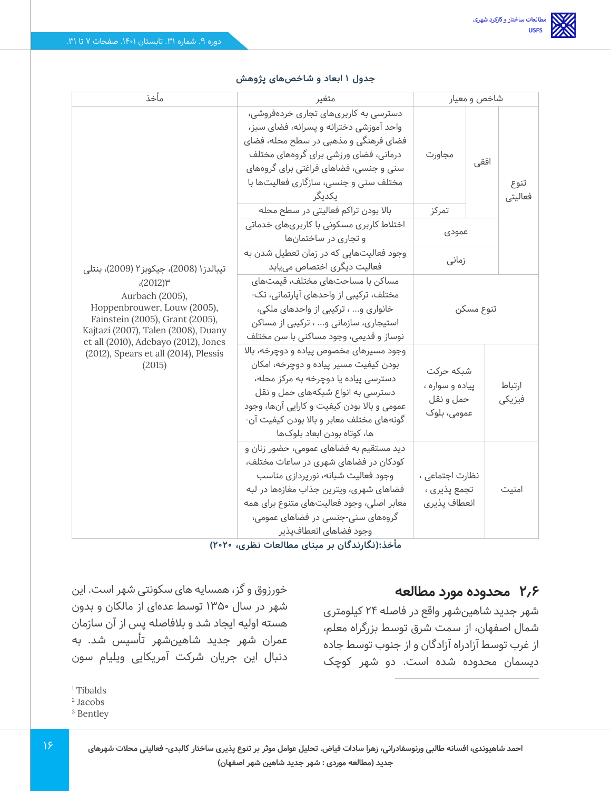| مأخذ                                                                                                                                                                                                                                                                           | متغير                                                                                                                                                                                                                                                                                    | شاخص و معیار                                             |      |                  |
|--------------------------------------------------------------------------------------------------------------------------------------------------------------------------------------------------------------------------------------------------------------------------------|------------------------------------------------------------------------------------------------------------------------------------------------------------------------------------------------------------------------------------------------------------------------------------------|----------------------------------------------------------|------|------------------|
|                                                                                                                                                                                                                                                                                | دسترسی به کاربریهای تجاری خردهفروشی،<br>واحد آموزشی دخترانه و پسرانه، فضای سبز،<br>فضای فرهنگی و مذهبی در سطح محله، فضای<br>درمانی، فضای ورزشی برای گروههای مختلف<br>سنی و جنسی، فضاهای فراغتی برای گروههای<br>مختلف سنی و جنسی، سازگاری فعالیتها با<br>يكديگر                           | مجاورت                                                   | افقى | تنوع<br>فعاليتى  |
|                                                                                                                                                                                                                                                                                | بالا بودن تراكم فعاليتى در سطح محله                                                                                                                                                                                                                                                      | تمركز                                                    |      |                  |
|                                                                                                                                                                                                                                                                                | اختلاط کاربری مسکونی با کاربریهای خدماتی<br>و تجاری در ساختمانها                                                                                                                                                                                                                         | عمودي                                                    |      |                  |
| تيبالدز١ (2008)، جيكوبز ٢ (2009)، بنتلي<br>$(2012)^{w}$<br>Aurbach (2005),<br>Hoppenbrouwer, Louw (2005),<br>Fainstein (2005), Grant (2005),<br>Kajtazi (2007), Talen (2008), Duany<br>et all (2010), Adebayo (2012), Jones<br>(2012), Spears et all (2014), Plessis<br>(2015) | وجود فعالیتهایی که در زمان تعطیل شدن به<br>فعالیت دیگری اختصاص مییابد                                                                                                                                                                                                                    | زمانی                                                    |      |                  |
|                                                                                                                                                                                                                                                                                | مساکن با مساحتهای مختلف، قیمتهای<br>مختلف، ترکیبی از واحدهای آپارتمانی، تک-<br>خانواری و ، ترکیبی از واحدهای ملکی،<br>استیجاری، سازمانی و ، ترکیبی از مساکن<br>نوساز و قدیمی، وجود مساکنی با سن مختلف                                                                                    | تنوع مسكن                                                |      |                  |
|                                                                                                                                                                                                                                                                                | وجود مسیرهای مخصوص پیاده و دوچرخه، بالا<br>بودن کیفیت مسیر پیاده و دوچرخه، امکان<br>دسترسی پیاده یا دوچرخه به مرکز محله،<br>دسترسی به انواع شبکههای حمل و نقل<br>عمومی و بالا بودن کیفیت و کارایی آنها، وجود<br>گونههای مختلف معابر و بالا بودن کیفیت آن-<br>ها، كوتاه بودن ابعاد بلوكها | شبكه حركت<br>پیاده و سواره ،<br>حمل و نقل<br>عمومی، بلوک |      | ارتباط<br>فيزيكى |
|                                                                                                                                                                                                                                                                                | ديد مستقيم به فضاهای عمومی، حضور زنان و<br>کودکان در فضاهای شهری در ساعات مختلف،<br>وجود فعالیت شبانه، نورپردازی مناسب<br>فضاهای شهری، ویترین جذاب مغازهها در لبه<br>معابر اصلی، وجود فعالیتهای متنوع برای همه<br>گروههای سنی-جنسی در فضاهای عمومی،<br>وجود فضاهاى انعطافپذير            | نظارت اجتماعی ،<br>تجمع پذیری ،<br>انعطاف پذیری          |      | امنیت            |

#### **جدول 1 ابعاد و شاخص های پژوهش**

**مأخذ:)نگارندگان بر مبنای مطالعات نظری، 2020(** 

## **2.6 محدوده مورد مطالعه**

شهر جدید شاهینشهر واقع در فاصله 24 کیلومتری شمال اصفهان، از سمت شرق توسط بزرگراه معلم، از غرب توسط آزادراه آزادگان و از جنوب توسط جاده دیسمان محدوده شده است. دو شهر کوچک

خورزوق و گز، همسایه های سکونتی شهر است. این شهر در سال 1350 توسط عدهای از مالکان و بدون هسته اولیه ایجاد شد و بالفاصله پس از آن سازمان عمران شهر جدید شاهین شهر تأسیس شد. به دنبال این جریان شرکت آمریکایی ویلیام سون

<sup>&</sup>lt;sup>1</sup> Tibalds

<sup>2</sup> Jacobs

<sup>3</sup> Bentley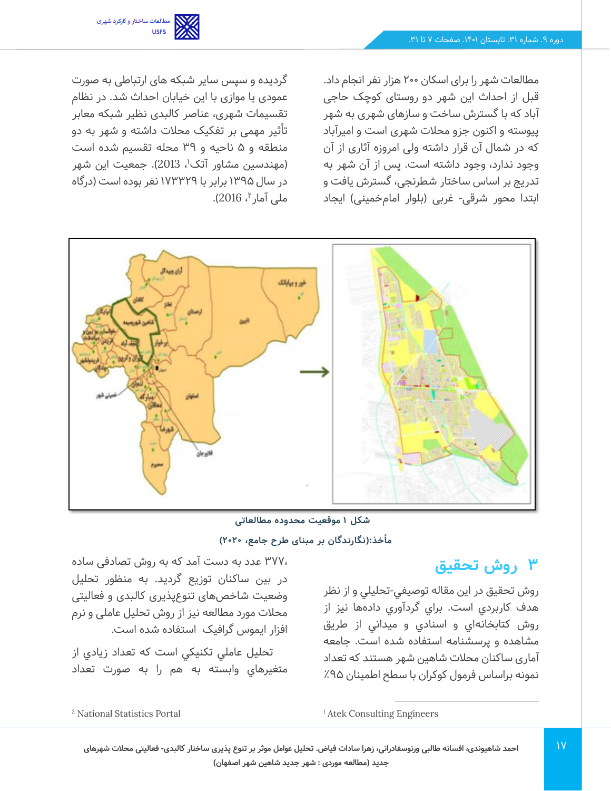مطالعات شهر را برای اسکان 200 هزار نفر انجام داد. قبل از احداث این شهر دو روستای کوچک حاجی آباد که با گسترش ساخت و سازهای شهری به شهر پیوسته و اکنون جزو محالت شهری است و امیرآباد که در شمال آن قرار داشته ولی امروزه آثاری از آن وجود ندارد، وجود داشته است. پس از آن شهر به تدریج بر اساس ساختار شطرنجی، گسترش یافت و ابتدا محور شرقی - غربی ) بلوار امامخمینی( ایجاد

گردیده و سپس سایر شبکه های ارتباطی به صورت عمودی یا موازی با این خیابان احداث شد. در نظام تقسیمات شهری، عناصر کالبدی نظیر شبکه معابر تأثیر مهمی بر تفکیک محالت داشته و شهر به دو منطقه و 5 ناحیه و 39 محله تقسیم شده است (مهندسین مشاور آتک'، 2013). جمعیت این شهر در سال 1395 برابر با 173329 نفر بوده است ) درگاه ملی آمار <sup>۲</sup>، 2016).



**مأخذ:)نگارندگان بر مبنای طرح جامع، 2020( شکل 1 موقعیت محدوده مطالعاتی** 

## **3 روش تحقیق**

روش تحقيق در این مقاله توصيفي-تحليلي و از نظر هدف کاربردي است. براي گردآوري دادهها نيز از روش کتابخانهاي و اسنادي و ميداني از طریق مشاهده و پرسشنامه استفاده شده است. جامعه آماری ساکنان محالت شاهین شهر هستند که تعداد نمونه براساس فرمول کوکران با سطح اطمینان %95

377، عدد به دست آمد که به روش تصادفی ساده در بین ساکنان توزیع گردید. به منظور تحليل وضعیت شاخصهای تنوع پذیری کالبدی و فعالیتی محالت مورد مطالعه نیز از روش تحلیل عاملی و نرم افزار ایموس گرافیک استفاده شده است .

تحليل عاملي تكنيكي است كه تعداد زيادي از متغيرهاي وابسته به هم را به صورت تعداد

<sup>1</sup> Atek Consulting Engineers

<sup>2</sup> National Statistics Portal

**احمد شاهیوندی، افسانه طالبی ورنوسفادرانی، زهرا سادات فیاض. تحلیل عوامل موثر بر تنوع پذیری ساختار کالبدی- فعالیتی محالت شهرهای جدید )مطالعه موردی : شهر جدید شاهین شهر اصفهان(**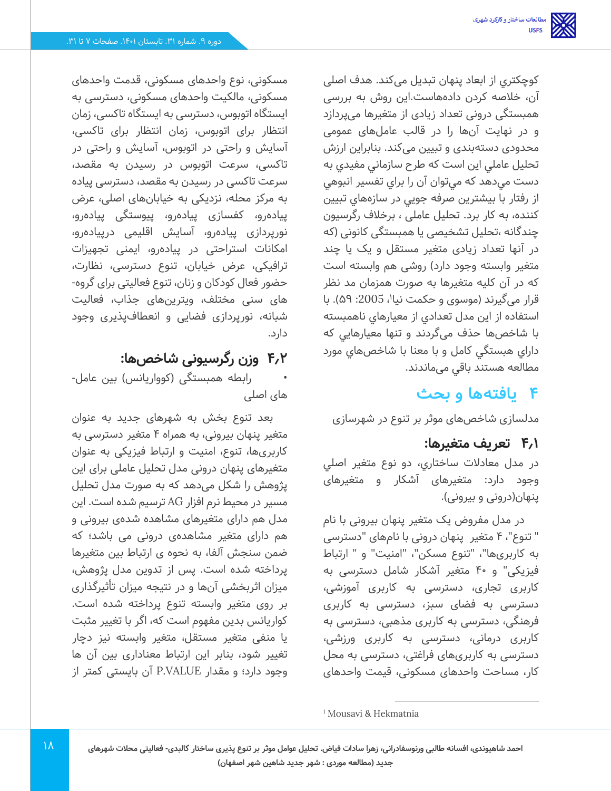كوچكترى از ابعاد پنهان تبدیل میکند. هدف اصلی آن، خالصه کردن داده هاست.این روش به بررسی همبستگی درونی تعداد زیادی از متغیرها می پردازد و در نهایت آنها را در قالب عاملهای عمومی محدودی دستهبندی و تبیین میکند. بنابراين ارزش تحليل عاملي اين است كه طرح سازماني مفيدي به دست مي دهد كه ميتوان آن را براي تفسير انبوهي از رفتار با بيشترين صرفه جويي در سازههاي تبيين كننده، به كار برد. تحلیل عاملی ، برخالف رگرسیون چندگانه ،تحلیل تشخیصی یا همبستگی کانونی ) که در آنها تعداد زیادی متغیر مستقل و یک یا چند متغیر وابسته وجود دارد( روشی هم وابسته است که در آن کلیه متغیرها به صورت همزمان مد نظر قرار میگیرند (موسوی و حکمت نیا'، 2005: ۵۹). با استفاده از اين مدل تعدادي از معيارهاي ناهمبسته با شاخص ها حذف میگردند و تنها معيارهايي که داراي هبستگي کامل و با معنا با شاخصهاي مورد مطالعه هستند باقي میماندند.

# **4 یافتهها و بحث**

مدلسازی شاخص های موثر بر تنوع در شهرسازی

## **4.1 تعریف متغیرها:**

در مدل معادالت ساختاري، دو نوع متغير اصلي وجود دارد: متغيرهای آشکار و متغیرهای پنهان(درونی و بیرونی).

در مدل مفروض یک متغیر پنهان بیرونی با نام " تنوع"، 4 متغیر پنهان درونی با نامهای "دسترسی به کاربری ها"، "تنوع مسکن "، "امنیت" و " ارتباط فیزیکی" و 40 متغیر آشکار شامل دسترسی به کاربری تجاری، دسترسی به کاربری آموزشی، دسترسی به فضای سبز، دسترسی به کاربری فرهنگی، دسترسی به کاربری مذهبی، دسترسی به کاربری درمانی، دسترسی به کاربری ورزشی، دسترسی به کاربریهای فراغتی، دسترسی به محل کار، مساحت واحدهای مسکونی، قیمت واحدهای

مسکونی، نوع واحدهای مسکونی، قدمت واحدهای مسکونی، مالکیت واحدهای مسکونی، دسترسی به ایستگاه اتوبوس، دسترسی به ایستگاه تاکسی، زمان انتظار برای اتوبوس، زمان انتظار برای تاکسی، آسایش و راحتی در اتوبوس، آسایش و راحتی در تاکسی، سرعت اتوبوس در رسیدن به مقصد، سرعت تاکسی در رسیدن به مقصد، دسترسی پیاده به مرکز محله، نزدیکی به خیابانهای اصلی، عرض پیادهرو، کفسازی پیادهرو، پیوستگی پیادهرو، نورپردازی پیادهرو، آسایش اقلیمی درپیادهرو، امکانات استراحتی در پیادهرو، ایمنی تجهیزات ترافیکی، عرض خیابان، تنوع دسترسی، نظارت، حضور فعال کودکان و زنان، تنوع فعالیتی برای گروه - های سنی مختلف، ویترینهای جذاب، فعالیت شبانه، نورپردازی فضایی و انعطافپذیری وجود دارد.

# **4.2 وزن رگرسیونی شاخص ها:**

رابطه همبستگی (کوواریانس) بین عامل-های اصلی

بعد تنوع بخش به شهرهای جدید به عنوان متغیر پنهان بیرونی، به همراه 4 متغیر دسترسی به کاربریها، تنوع، امنیت و ارتباط فیزیکی به عنوان متغیرهای پنهان درونی مدل تحلیل عاملی برای این پژوهش را شکل می دهد که به صورت مدل تحلیل مسیر در محیط نرم افزار AG ترسیم شده است. این مدل هم دارای متغیرهای مشاهده شدهی بیرونی و هم دارای متغیر مشاهدهی درونی می باشد؛ که ضمن سنجش آلفا، به نحوه ی ارتباط بین متغیرها پرداخته شده است. پس از تدوین مدل پژوهش، میزان اثربخشی آن ها و در نتیجه میزان تأثیرگذاری بر روی متغیر وابسته تنوع پرداخته شده است. کواریانس بدین مفهوم است که، اگر با تغییر مثبت یا منفی متغیر مستقل، متغیر وابسته نیز دچار تغییر شود، بنابر این ارتباط معناداری بین آن ها وجود دارد؛ و مقدار P.VALUE آن بایستی کمتر از

<sup>1</sup> Mousavi & Hekmatnia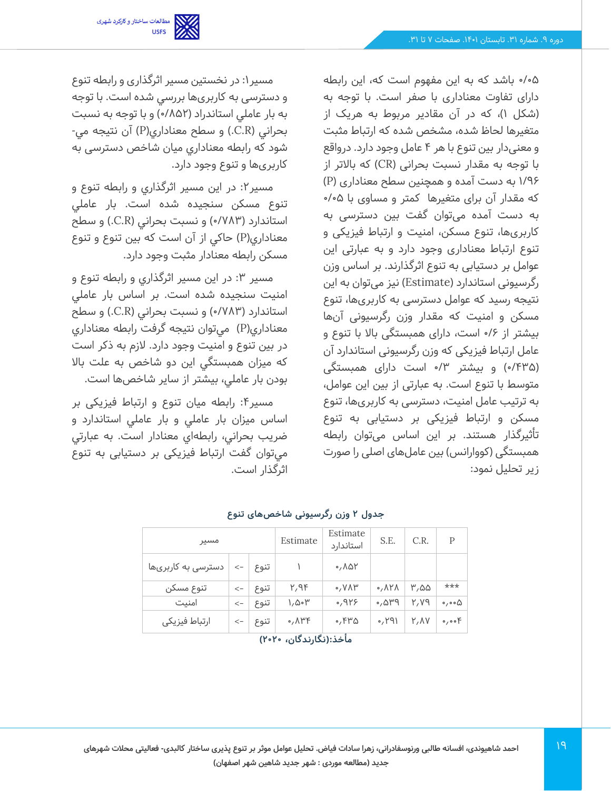مطالعات ساختار و کارکرد شهری<br>USFS

0/05 باشد که به این مفهوم است که، این رابطه دارای تفاوت معناداری با صفر است. با توجه به )شکل 1(، که در آن مقادیر مربوط به هریک از متغیرها لحاظ شده، مشخص شده که ارتباط مثبت و معنیدار بین تنوع با هر 4 عامل وجود دارد. درواقع با توجه به مقدار نسبت بحرانی )CR )که باالتر از 1/96 به دست آمده و همچنین سطح معناداری ) P ) که مقدار آن برای متغیرها کمتر و مساوی با 0/05 به دست آمده میتوان گفت بین دسترسی به کاربریها، تنوع مسکن، امنیت و ارتباط فیزیکی و تنوع ارتباط معناداری وجود دارد و به عبارتی این عوامل بر دستیابی به تنوع اثرگذارند. بر اساس وزن رگرسیونی استاندارد )Estimate )نیز میتوان به این نتیجه رسید که عوامل دسترسی به کاربریها، تنوع مسکن و امنیت که مقدار وزن رگرسیونی آن ها بیشتر از 0/6 است، دارای همبستگی باال با تنوع و عامل ارتباط فیزیکی که وزن رگرسیونی استاندارد آن )/435 0( و بیشتر /3 0 است دارای همبستگی متوسط با تنوع است. به عبارتی از بین این عوامل، به ترتیب عامل امنیت، دسترسی به کاربریها، تنوع مسکن و ارتباط فیزیکی بر دستیابی به تنوع تأثیرگذار هستند. بر این اساس میتوان رابطه همبستگی (کووارانس) بین عاملهای اصلی را صورت زیر تحلیل نمود:

مسير:1 در نخستين مسير اثرگذاری و رابطه تنوع و دسترسی به کاربریها بررسي شده است. با توجه به بار عاملي استاندراد ) /852 0( و با توجه به نسبت بحراني )R.C. )و سطح معناداري)P )آن نتيجه مي- شود که رابطه معناداري ميان شاخص دسترسی به کاربریها و تنوع وجود دارد.

مسير:2 در این مسیر اثرگذاري و رابطه تنوع و تنوع مسکن سنجيده شده است. بار عاملي استاندارد (۷۸۳°) و نسبت بحراني (C.R.) و سطح معناداری(P) حاکی از آن است که بین تنوع و تنوع مسکن رابطه معنادار مثبت وجود دارد.

مسير ٣: در اين مسير اثرگذاري و رابطه تنوع و امنیت سنجيده شده است. بر اساس بار عاملي استاندارد (۷۸۳/۰) و نسبت بحراني (C.R.) و سطح معناداري)P )ميتوان نتيجه گرفت رابطه معناداري در بين تنوع و امنیت وجود دارد. الزم به ذکر است که ميزان همبستگي اين دو شاخص به علت باال بودن بار عاملي، بیشتر از ساير شاخصها است.

مسير:4 رابطه ميان تنوع و ارتباط فیزیکی بر اساس ميزان بار عاملي و بار عاملي استاندارد و ضريب بحراني، رابطهاي معنادار است. به عبارتي ميتوان گفت ارتباط فیزیکی بر دستیابی به تنوع اثرگذار است.

| مسير                   |                         |      | Estimate                           | Estimate<br>استاندارد | S.E.                               | C.R.  | Р                              |  |
|------------------------|-------------------------|------|------------------------------------|-----------------------|------------------------------------|-------|--------------------------------|--|
| دسترسی به کاربریها     | $\leftarrow$            | تنوع |                                    | ۸۵۲ ک                 |                                    |       |                                |  |
| تنوع مسکن              | $\lt-$                  | تنوع | ۲٬۹۴                               | $0, V \wedge V'$      | $\circ$ , $\wedge$ $\vee$ $\wedge$ | ۵۵٬۳  | $***$                          |  |
| امنیت                  | $\operatorname{\!<\!}-$ | تنوع | ۱٫۵۰۳                              | ٬۹۲۶                  | ۳۹۵٬۰                              | ۲,۷۹  | $\circ$ , $\circ \circ \Delta$ |  |
| ارتباط فيزيكي          | $\lt-$                  | تنوع | $\circ$ , $\wedge$ $\vee$ $\vdash$ | ٬٬۴۳۵                 | 0.191                              | Y, AV | 0,00                           |  |
| مأخذ:(نگارندگان، ۲۰۲۰) |                         |      |                                    |                       |                                    |       |                                |  |

**جدول 2 وزن رگرسیونی شاخص های تنوع**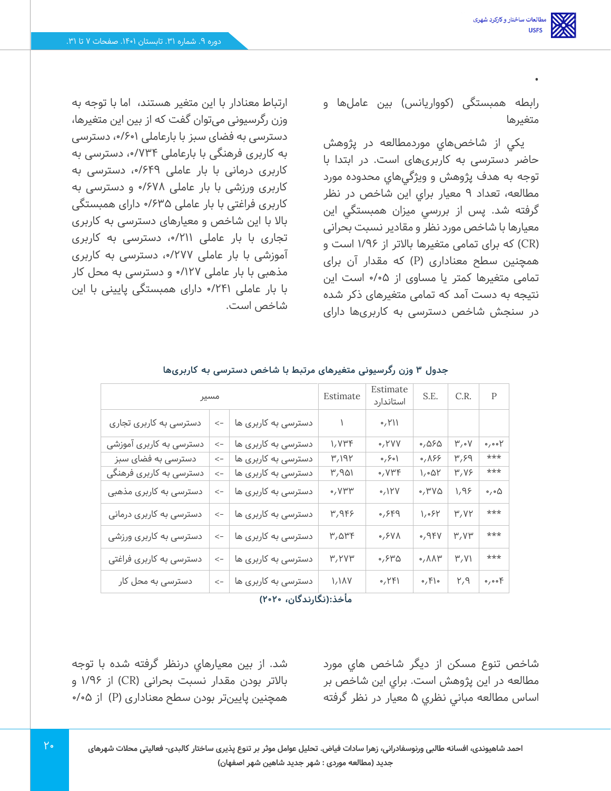•

رابطه همبستگی (کوواریانس) بین عاملها و متغیرها

يکي از شاخصهاي موردمطالعه در پژوهش حاضر دسترسی به کاربری های است. در ابتدا با توجه به هدف پژوهش و ويژگيهاي محدوده مورد مطالعه، تعداد 9 معيار براي اين شاخص در نظر گرفته شد. پس از بررسي ميزان همبستگي اين معيارها با شاخص مورد نظر و مقادیر نسبت بحرانی )CR )که برای تمامی متغیرها باالتر از 1/96 است و همچنین سطح معناداری ) P )که مقدار آن برای تمامی متغیرها کمتر یا مساوی از /05 0 است این نتیجه به دست آمد که تمامی متغیرهای ذکر شده در سنجش شاخص دسترسی به کاربریها دارای

ارتباط معنادار با این متغیر هستند، اما با توجه به وزن رگرسیونی میتوان گفت که از بین این متغیرها، دسترسی به فضای سبز با بارعاملی ،0/601 دسترسی به کاربری فرهنگی با بارعاملی ۷۳۴/۰٬ دسترسی به کاربری درمانی با بار عاملی ۶۴۹/۰٫ دسترسی به کاربری ورزشی با بار عاملی 0/678 و دسترسی به کاربری فراغتی با بار عاملی 0/635 دارای همبستگی باال با این شاخص و معیارهای دسترسی به کاربری تجاری با بار عاملی ،0/211 دسترسی به کاربری آموزشی با بار عاملی ،0/277 دسترسی به کاربری مذهبی با بار عاملی 0/127 و دسترسی به محل کار با بار عاملی 0/241 دارای همبستگی پایینی با این شاخص است.

| مسير                    | Estimate | Estimate<br>استاندارد | S.E.             | C.R.          | $\mathsf{P}$                   |                   |                                  |
|-------------------------|----------|-----------------------|------------------|---------------|--------------------------------|-------------------|----------------------------------|
| دسترسی به کاربری تجاری  | $\lt$ –  | دسترسی به کاربری ها   |                  | 0, Y          |                                |                   |                                  |
| دسترسی به کاربری آموزشی | $\lt-$   | دسترسی به کاربری ها   | ۱,۷۳۴            | $\circ$ , YVV | ۵۶۵٬۰                          | $\mu$ , $\Lambda$ | $\circ$ , $\circ \circ \uparrow$ |
| دسترسی به فضای سبز      | $\lt$ –  | دسترسی به کاربری ها   | ۳,۱۹۲            | ۱ه ۶٫ ه       | 0,055                          | ۳٫۶۹              | ***                              |
| دسترسی به کاربری فرهنگی | $\lt$ -  | دسترسی به کاربری ها   | ۳٫۹۵۱            | ۷۳۴ه          | ۱٫۰۵۲                          | ۳٫۷۶              | ***                              |
| دسترسی به کاربری مذهبی  | $\lt-$   | دسترسی به کاربری ها   | $\cdot$ , $V$ ۳۳ | 0,11Y         | °, ۳۷۵                         | ۱٬۹۶              | ۵٫۰۵                             |
| دسترسی به کاربری درمانی | $\lt-$   | دسترسی به کاربری ها   | ۳,۹۴۶            | 0,559         | 1,084                          | Y, YY             | ***                              |
| دسترسی به کاربری ورزشی  | $\lt$ –  | دسترسی به کاربری ها   | ۳٫۵۳۴            | $0,5V\Lambda$ | 0,95V                          | Y, YY             | ***                              |
| دسترسی به کاربری فراغتی | $\lt$ –  | دسترسی به کاربری ها   | ۳,۲۷۳            | ۳۵٬۶۳۵        | $\circ$ , $\wedge \wedge \vee$ | $\mu$ , V)        | ***                              |
| دسترسی به محل کار       | $\lt$ –  | دسترسی به کاربری ها   | 1/1AV            | 0, YF         | $\circ$ , $\uparrow$   $\circ$ | Y,9               | $\circ$ , $\circ$ of             |

**جدول 3 وزن رگرسیونی متغیرهای مرتبط با شاخص دسترسی به کاربری ها** 

**مأخذ:)نگارندگان، 2020(** 

شاخص تنوع مسکن از ديگر شاخص هاي مورد مطالعه در اين پژوهش است. براي اين شاخص بر اساس مطالعه مباني نظري 5 معيار در نظر گرفته

شد. از بين معيارهاي درنظر گرفته شده با توجه باالتر بودن مقدار نسبت بحرانی )CR )از 1/96 و همچنین پایینتر بودن سطح معناداری (P) از ۰۵%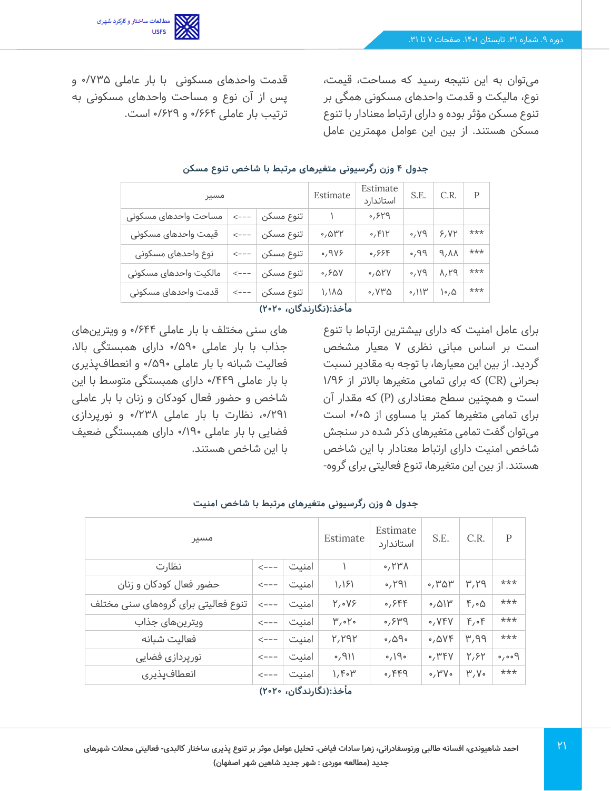میتوان به این نتیجه رسید که مساحت، قیمت، نوع، مالیکت و قدمت واحدهای مسکونی همگی بر تنوع مسکن مؤثر بوده و دارای ارتباط معنادار با تنوع مسکن هستند. از بین این عوامل مهمترین عامل

قدمت واحدهای مسکونی با بار عاملی 0/735 و پس از آن نوع و مساحت واحدهای مسکونی به ترتیب بار عاملی 0/664 و 0/629 است.

مطالعات ساختار وکارکرد شهری<br>USFS

| مسير المسير           | Estimate         | Estimate<br>استاندارد                                              |               | S.E. $\begin{array}{ c c c c c c c c } \hline \end{array}$ P |                        |                       |       |
|-----------------------|------------------|--------------------------------------------------------------------|---------------|--------------------------------------------------------------|------------------------|-----------------------|-------|
| مساحت واحدهاى مسكونى  | $\leftarrow - -$ | تنوع مسکن                                                          | $\mathcal{N}$ | $PY^{\circ}$                                                 |                        |                       |       |
| قیمت واحدهای مسکونی   |                  | تنوع مسکن $ \hspace{-.06cm} - -\hspace{-.06cm} -\hspace{-.06cm} -$ | ۳۳ه,٠         | 0, F                                                         | PV,                    | 5,01                  | $***$ |
| نوع واحدهای مسکونی    |                  | ِتنوع مسکن │ --->                                                  | .9V           | 0,999                                                        | PP,                    | A, A                  | ***   |
| مالکیت واحدهای مسکونی |                  | تنوع مسکن $\vert$ --->                                             | 0,90V         | 0,01V                                                        | PV,                    | $\Lambda, \Upsilon$ 9 | $***$ |
| قدمت واحدهاى مسكونى   |                  | تنوع مسکن $\vert$ --->                                             | ۱٬۱۸۵         | $\circ$ , $V^{\mu}\Delta$                                    | $\cdot$ <sup>11۳</sup> | $\mathcal{L}$         | ***   |

#### **جدول 4 وزن رگرسیونی متغیرهای مرتبط با شاخص تنوع مسکن**

#### **مأخذ:)نگارندگان، 2020(**

برای عامل امنیت که دارای بیشترین ارتباط با تنوع است بر اساس مبانی نظری 7 معیار مشخص گردید. از بین این معیارها، با توجه به مقادیر نسبت بحرانی )CR )که برای تمامی متغیرها باالتر از /96 1 است و همچنین سطح معناداری )P )که مقدار آن برای تمامی متغیرها کمتر یا مساوی از 0/05 است میتوان گفت تمامی متغیرهای ذکر شده در سنجش شاخص امنیت دارای ارتباط معنادار با این شاخص هستند. از بین این متغیرها، تنوع فعالیتی برای گروه -

های سنی مختلف با بار عاملی /644 0 و ویترین های جذاب با بار عاملی 0/590 دارای همبستگی باال، فعالیت شبانه با بار عاملی 0/590 و انعطافپذیری با بار عاملی 0/449 دارای همبستگی متوسط با این شاخص و حضور فعال کودکان و زنان با بار عاملی /291 ،0 نظارت با بار عاملی 0/238 و نورپردازی فضایی با بار عاملی 0/190 دارای همبستگی ضعیف با این شاخص هستند.

| مسير                                | Estimate          | Estimate<br>استاندارد      | S.E.          | C.R.            | P                    |                   |                            |
|-------------------------------------|-------------------|----------------------------|---------------|-----------------|----------------------|-------------------|----------------------------|
| نظارت                               | $\leftarrow - -$  | امنىت                      |               | $0, Y^{\mu}$    |                      |                   |                            |
| حضور فعال کودکان و زنان             | $\leftarrow - -$  | امنىت                      | 1,151         | $1PY_0$         | ۳۵۳،                 | ۳٫۲۹              | ***                        |
| تنوع فعالیتی برای گروههای سنی مختلف | $\lt - - -$       | امنىت                      | Y, oVP        | $0,$ $55$       | 0,011                | $F, \circ \Delta$ | $***$                      |
| ويترينهاى جذاب                      | $\leftarrow$ $ -$ | امنىت                      | $\mu$ , $\mu$ | $P^{\mu}P,$     | $\circ$ , $VFV$      | $F, \circ F$      | $***$                      |
| فعاليت شبانه                        | $\leftarrow - -$  | امنىت                      | ۲,۲۹۲         | ۰٫۵۹۰           | 0,005                | PP, Y             | $***$                      |
| نورپردازی فضایی                     | $\leftarrow - -$  | امنىت                      | $1/P_0$       | $\rho/19$       | $\circ$ , ۳۴۷        | ۲,۶۲              | $\rho$ , $\rho \circ \rho$ |
| انعطافپذیری                         | $\leftarrow - -$  | امنىت<br>الانتقاد الأمارين | ۱٫۴۰۳         | $\circ$ , $FF9$ | $\circ$ , ۳۷ $\circ$ | $\mu$ , $V \circ$ | $***$                      |

#### **جدول 5 وزن رگرسیونی متغیرهای مرتبط با شاخص امنیت**

**مأخذ:)نگارندگان، 2020(**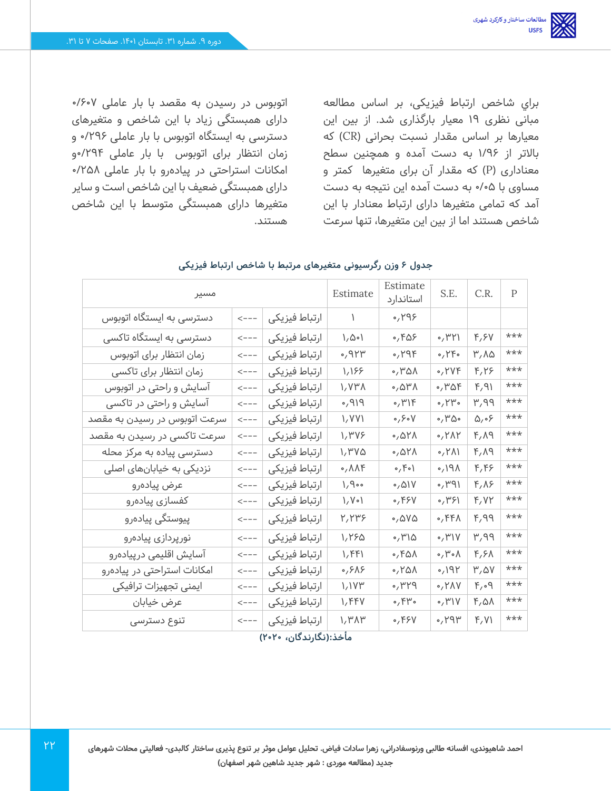براي شاخص ارتباط فیزیکی، بر اساس مطالعه مبانی نظری 19 معیار بارگذاری شد. از بين اين معيارها بر اساس مقدار نسبت بحرانی )CR )که باالتر از /96 1 به دست آمده و همچنین سطح معناداری )P )که مقدار آن برای متغیرها کمتر و مساوی با 0/05 به دست آمده این نتیجه به دست آمد که تمامی متغیرها دارای ارتباط معنادار با این شاخص هستند اما از بین این متغیرها، تنها سرعت

اتوبوس در رسیدن به مقصد با بار عاملی 0/607 دارای همبستگی زیاد با این شاخص و متغیرهای دسترسی به ایستگاه اتوبوس با بار عاملی 0/296 و زمان انتظار برای اتوبوس با بار عاملی 0/294و امکانات استراحتی در پیادهرو با بار عاملی 0/258 دارای همبستگی ضعیف با این شاخص است و سایر متغیرها دارای همبستگی متوسط با این شاخص هستند.

| مسير                         | Estimate          | Estimate<br>استاندارد                          | S.E.                           | C.R.                     | $\mathsf{P}$                        |                |     |
|------------------------------|-------------------|------------------------------------------------|--------------------------------|--------------------------|-------------------------------------|----------------|-----|
| دسترسی به ایستگاه اتوبوس     | $\leftarrow$ $ -$ | ارتباط فيزيكى                                  | $\mathcal{L}$                  | $\gamma$                 |                                     |                |     |
| دسترسی به ایستگاه تاکسی      | $\leftarrow$ $ -$ | ارتباط فيزيكى                                  | 1,001                          | ۵٫۴۵۶                    | $\cdot$ , ۳۲۱                       | F, FV          | *** |
| زمان انتظار براى اتوبوس      | $\leftarrow$ $ -$ | ارتباط فيزيكى                                  | $\gamma$ ۹۲۳                   | $\circ$ , $\gamma$ 94    | $\circ$ , $\uparrow \uparrow \circ$ | ۳,۸۵           | *** |
| زمان انتظار برای تاکسی       | $\leftarrow$ $ -$ | ارتباط فيزيكى                                  | 1,188                          | 0,701                    | $\circ$ , $\forall \forall \xi$     | F,Y            | *** |
| آسایش و راحتی در اتوبوس      | $\leftarrow$ $ -$ | ارتباط فيزيكى                                  | ۱٫۷۳۸                          | ۰٫۵۳۸                    | $\cdot$ , ۳۵۴                       | F, 91          | *** |
| آسایش و راحتی در تاکسی       | $\leftarrow$ $ -$ | ارتباط فيزيكى                                  | P/P,                           | $\circ$ , $\uparrow$     | $\circ$ , $\upgamma$ ۳ $\circ$      | ۳,۹۹           | *** |
| سرعت اتوبوس در رسیدن به مقصد | $\leftarrow$ $ -$ | ارتباط فيزيكى                                  | 1/VV                           | $\circ$ , $\circ$ $\vee$ | $\cdot$ , ۳۵ $\cdot$                | ۶۰٫۵           | *** |
| سرعت تاکسی در رسیدن به مقصد  | $\leftarrow - -$  | ارتباط فيزيكى                                  | ۱٫۳۷۶                          | 0,011                    | $\circ$ , $\gamma \wedge \gamma$    | $P,\Lambda$ 9  | *** |
| دسترسی پیاده به مرکز محله    | $\leftarrow$ $ -$ | ارتباط فيزيكى                                  | 1,1.00                         | 0,011                    | $\langle \Lambda \Upsilon$          | $P,\Lambda$ 9  | *** |
| نزدیکی به خیابانهای اصلی     | $\leftarrow$ $ -$ | ارتباط فيزيكى                                  | $\circ$ , $\wedge \wedge \vee$ | $\circ$ , $\circ$        | $\Lambda$ P $\Lambda$               | F, F           | *** |
| عرض پیادہرو                  | $\leftarrow$ $ -$ | ارتباط فيزيكى                                  | 1,9                            | 0,01V                    | $1P^4$                              | $F, \Lambda$ ۶ | *** |
| كفسازى پيادەرو               |                   | ارتباط فيزيكى                                  | $1/V \circ I$                  | ٬٬۴۶۷                    | , 49                                | F, VY          | *** |
| پیوستگی پیادەرو              | $\leftarrow$ $ -$ | ارتباط فيزيكى                                  | ۲٬۲۳۶                          | ۵۷۵٬۰                    | $\circ$ , $FF\Lambda$               | ۴,۹۹           | *** |
| نورپردازی پیادەرو            | $\leftarrow$ $ -$ | ارتباط فيزيكى                                  | 1,190                          | $\circ$ , $\uparrow$     | $\cdot$ /۳۱۷                        | ۳,۹۹           | *** |
| آسایش اقلیمی درپیادەرو       | $\leftarrow$ $ -$ | ارتباط فيزيكى                                  | 1,441                          | $\circ$ , $FA\Lambda$    | $\wedge$ of $\wedge$                | $F, F \wedge$  | *** |
| امکانات استراحتی در پیادهرو  | $\leftarrow$ $ -$ | ارتباط فيزيكى                                  | ۶۸۶, ه                         | 0,101                    | Y                                   | $\mu$ , av     | *** |
| ایمنی تجهیزات ترافیکی        | $\leftarrow$ $ -$ | ارتباط فيزيكى                                  | 1,174                          | PYY,                     | $\circ$ , $Y \wedge V$              | $F, \circ Q$   | *** |
| عرض خيابان                   | $\leftarrow$ $ -$ | ارتباط فيزيكى                                  | 1, FFV                         | ۴۳۰ (                    | $\circ$ , ۳۱۷                       | ۴٫۵۸           | *** |
| تنوع دسترسى                  | $\leftarrow$ $ -$ | ارتباط فيزيكى<br>وأبذن الأبراد كالدرية وادلالا | 1, ٣٨٣                         | $\circ$ , ۴۶۷            | 494                                 | F, V           | *** |

#### **جدول 6 وزن رگرسیونی متغیرهای مرتبط با شاخص ارتباط فیزیکی**

#### **مأخذ:)نگارندگان، 2020(**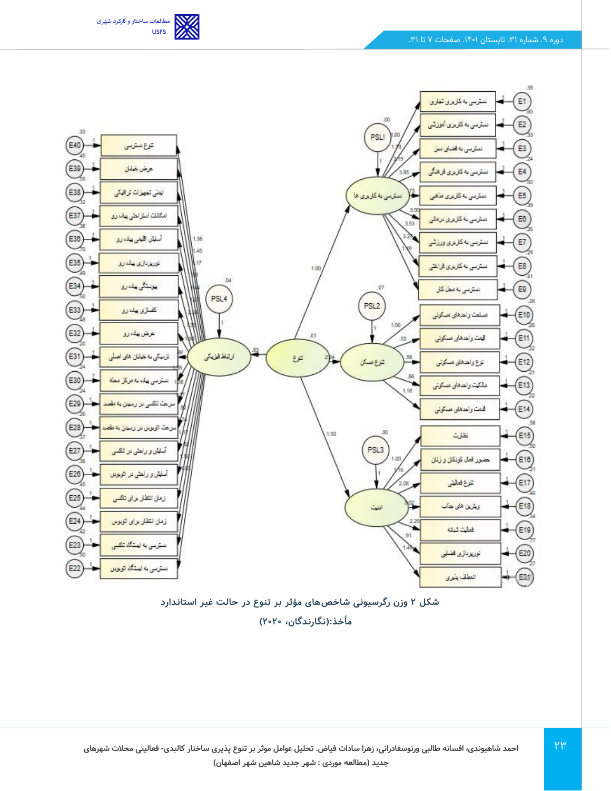





 $YY$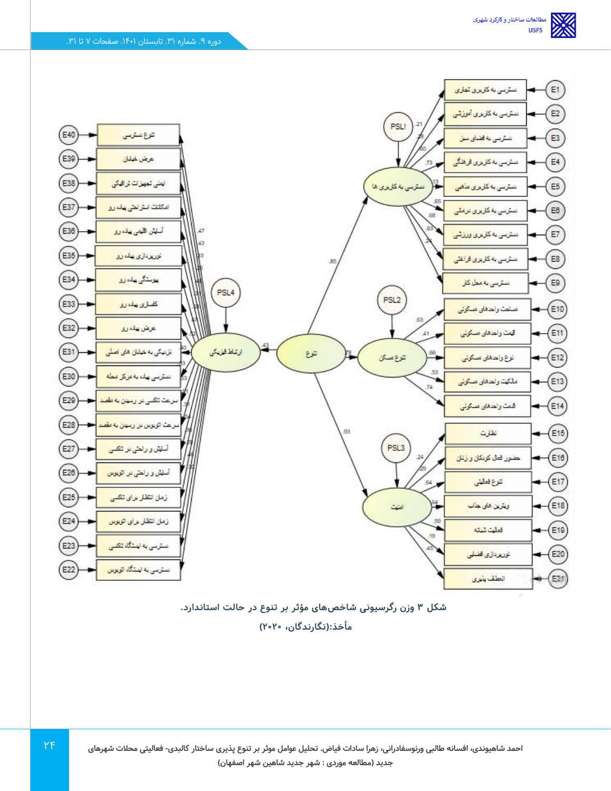

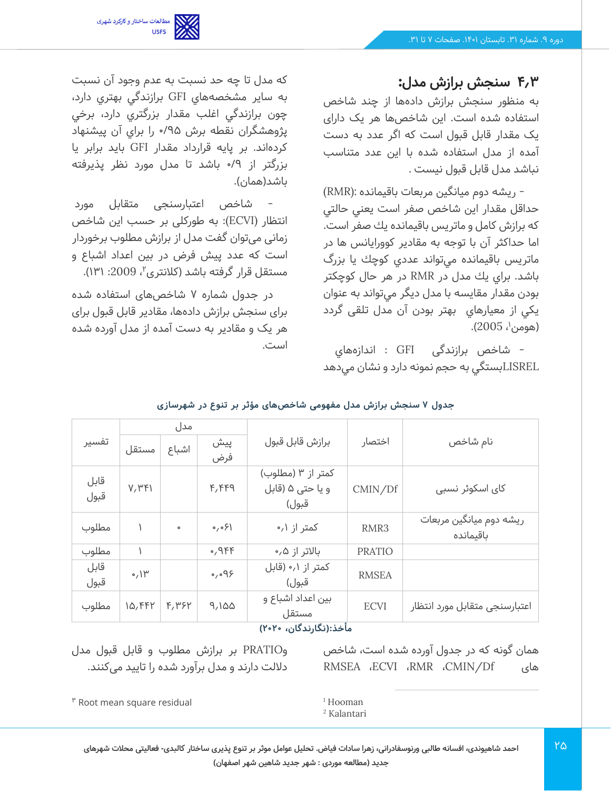

**4.3 سنجش برازش مدل:**

به منظور سنجش برازش دادهها از چند شاخص استفاده شده است. این شاخصها هر یک دارای یک مقدار قابل قبول است که اگر عدد به دست آمده از مدل استفاده شده با این عدد متناسب نباشد مدل قابل قبول نیست .

- ريشه دوم ميانگين مربعات باقيمانده :(RMR( حداقل مقدار اين شاخص صفر است يعني حالتي كه برازش كامل و ماتريس باقيمانده يك صفر است. اما حداكثر آن با توجه به مقادير كوورايانس ها در ماتريس باقيمانده ميتواند عددي كوچك يا بزرگ باشد. براي يك مدل در RMR در هر حال كوچكتر بودن مقدار مقايسه با مدل ديگر ميتواند به عنوان يكي از معيارهاي بهتر بودن آن مدل تلقی گردد (هومن<sup>י</sup>، 2005).

- شاخص برازندگی GFI : اندازههاي LISRELبستگي به حجم نمونه دارد و نشان مي دهد

كه مدل تا چه حد نسبت به عدم وجود آن نسبت به ساير مشخصههاي GFI برازندگي بهتري دارد، چون برازندگي اغلب مقدار بزرگتري دارد، برخي پژوهشگران نقطه برش 0/95 را براي آن پيشنهاد كردهاند. بر پايه قرارداد مقدار GFI بايد برابر يا بزرگتر از 0/9 باشد تا مدل مورد نظر پذیرفته باشد(همان).

- شاخص اعتبارسنجی متقابل مورد انتظار (ECVI): به طورکلی بر حسب این شاخص زمانی میتوان گفت مدل از برازش مطلوب برخوردار است که عدد پیش فرض در بین اعداد اشباع و مستقل قرار گرفته باشد (کلانتری''، 2009: ۱۳۱).

در جدول شماره 7 شاخص های استفاده شده برای سنجش برازش دادهها، مقادیر قابل قبول برای هر یک و مقادیر به دست آمده از مدل آورده شده است.

|                        |                 | مدل     |                      |                                                |               | نام شاخص                             |  |  |
|------------------------|-----------------|---------|----------------------|------------------------------------------------|---------------|--------------------------------------|--|--|
| تفسير                  | مستقل           | اشباع   | پیش<br>فرض           | برازش قابل قبول                                | اختصار        |                                      |  |  |
| قابل<br>قبول           | V, P F          |         | F, FFA               | کمتر از ۳ (مطلوب)<br>و يا حتى ۵ (قابل<br>قبول) | CMIN/Df       | کای اسکوئر نسبی                      |  |  |
| مطلوب                  |                 | $\circ$ | ا۶ه,ه                | کمتر از ۰٫۱                                    | RMR3          | ریشه دوم میانگین مربعات<br>باقیمانده |  |  |
| مطلوب                  |                 |         | $0,9$ FF             | بالاتر از ۰٫۵                                  | <b>PRATIO</b> |                                      |  |  |
| قابل<br>قبول           | $0,11^{\omega}$ |         | $\circ$ , $\circ$ 9۶ | کمتر از ۰٫۱ (قابل<br>قبول)                     | <b>RMSEA</b>  |                                      |  |  |
| مطلوب                  | $10,$ $FFY$     | F, P5Y  | 9,100                | بین اعداد اشباع و<br>مستقل                     | <b>ECVI</b>   | اعتبارسنجى متقابل مورد انتظار        |  |  |
| مأخذ:(نگارندگان، ۲۰۲۰) |                 |         |                      |                                                |               |                                      |  |  |

**جدول 7 سنجش برازش مدل مفهومی شاخص های مؤثر بر تنوع در شهرسازی** 

همان گونه که در جدول آورده شده است، شاخص RMSEA ،ECVI ،RMR ،CMIN/Df های

وPRATIO بر برازش مطلوب و قابل قبول مدل داللت دارند و مدل برآورد شده را تایید می کنند.

 $"$  Root mean square residual

<sup>1</sup> Hooman <sup>2</sup> Kalantari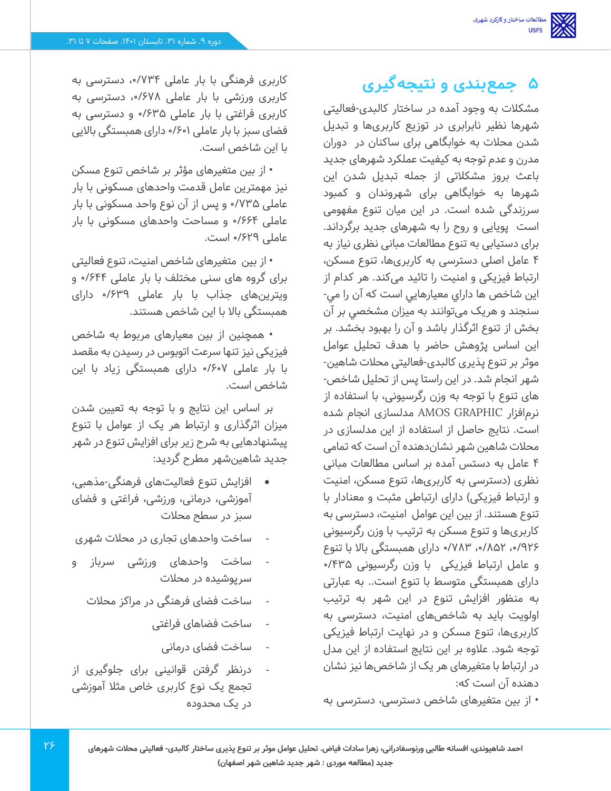# **5 جمعبندی و نتیجهگیری**

مشکالت به وجود آمده در ساختار کالبدی -فعالیتی شهرها نظیر نابرابری در توزیع کاربریها و تبدیل شدن محالت به خوابگاهی برای ساکنان در دوران مدرن و عدم توجه به کیفیت عملکرد شهرهای جدید باعث بروز مشکالتی از جمله تبدیل شدن این شهرها به خوابگاهی برای شهروندان و کمبود سرزندگی شده است. در این میان تنوع مفهومی است پویایی و روح را به شهرهای جدید برگرداند. برای دستیابی به تنوع مطالعات مبانی نظری نیاز به 4 عامل اصلی دسترسی به کاربریها، تنوع مسکن، ارتباط فیزیکی و امنیت را تائید میکند. هر کدام از اين شاخص ها داراي معيارهايي است که آن را مي- سنجند و هریک میتوانند به ميزان مشخصي بر آن بخش از تنوع اثرگذار باشد و آن را بهبود بخشد. بر این اساس پژوهش حاضر با هدف تحلیل عوامل موثر بر تنوع پذیری کالبدی -فعالیتی محالت شاهین- شهر انجام شد. در این راستا پس از تحلیل شاخص - های تنوع با توجه به وزن رگرسیونی، با استفاده از نرمافزار GRAPHIC AMOS مدلسازی انجام شده است. نتایج حاصل از استفاده از این مدلسازی در محالت شاهین شهر نشان دهنده آن است که تمامی 4 عامل به دستس آمده بر اساس مطالعات مبانی نظری )دسترسی به کاربری ها، تنوع مسکن، امنیت و ارتباط فیزیکی) دارای ارتباطی مثبت و معنادار با تنوع هستند. از بین این عوامل امنیت، دسترسی به کاربریها و تنوع مسکن به ترتیب با وزن رگرسیونی ،0/926 ،0/852 /783 0 دارای همبستگی باال با تنوع و عامل ارتباط فیزیکی با وزن رگرسیونی 0/435 دارای همبستگی متوسط با تنوع است.. به عبارتی به منظور افزایش تنوع در این شهر به ترتیب اولویت باید به شاخص های امنیت، دسترسی به کاربریها، تنوع مسکن و در نهایت ارتباط فیزیکی توجه شود. عالوه بر این نتایج استفاده از این مدل در ارتباط با متغیرهای هر یک از شاخصها نیز نشان دهنده آن است که:

• از بین متغیرهای شاخص دسترسی، دسترسی به

کاربری فرهنگی با بار عاملی ،0/734 دسترسی به کاربری ورزشی با بار عاملی ،0/678 دسترسی به کاربری فراغتی با بار عاملی 0/635 و دسترسی به فضای سبز با بار عاملی 0/601 دارای همبستگی باالیی با این شاخص است.

• از بین متغیرهای مؤثر بر شاخص تنوع مسکن نیز مهمترین عامل قدمت واحدهای مسکونی با بار عاملی 0/735 و پس از آن نوع واحد مسکونی با بار عاملی 0/664 و مساحت واحدهای مسکونی با بار عاملی 0/629 است.

• از بین متغیرهای شاخص امنیت، تنوع فعالیتی برای گروه های سنی مختلف با بار عاملی ۶۴۴/۰ و ویترینهای جذاب با بار عاملی /639 0 دارای همبستگی باال با این شاخص هستند.

• همچنین از بین معیارهای مربوط به شاخص فیزیکی نیز تنها سرعت اتوبوس در رسیدن به مقصد با بار عاملی 0/607 دارای همبستگی زیاد با این شاخص است.

بر اساس این نتایج و با توجه به تعیین شدن میزان اثرگذاری و ارتباط هر یک از عوامل با تنوع پیشنهادهایی به شرح زیر برای افزایش تنوع در شهر جدید شاهینشهر مطرح گردید:

- افزایش تنوع فعالیتهای فرهنگی -مذهبی، آموزشی، درمانی، ورزشی، فراغتی و فضای سبز در سطح محالت
- ساخت واحدهای تجاری در محالت شهری
- ساخت واحدهای ورزشی سرباز و سرپوشیده در محالت
	- ساخت فضای فرهنگی در مراکز محالت
		- ساخت فضاهای فراغتی
			- ساخت فضای درمانی
- درنظر گرفتن قوانینی برای جلوگیری از تجمع یک نوع کاربری خاص مثال آموزشی در یک محدوده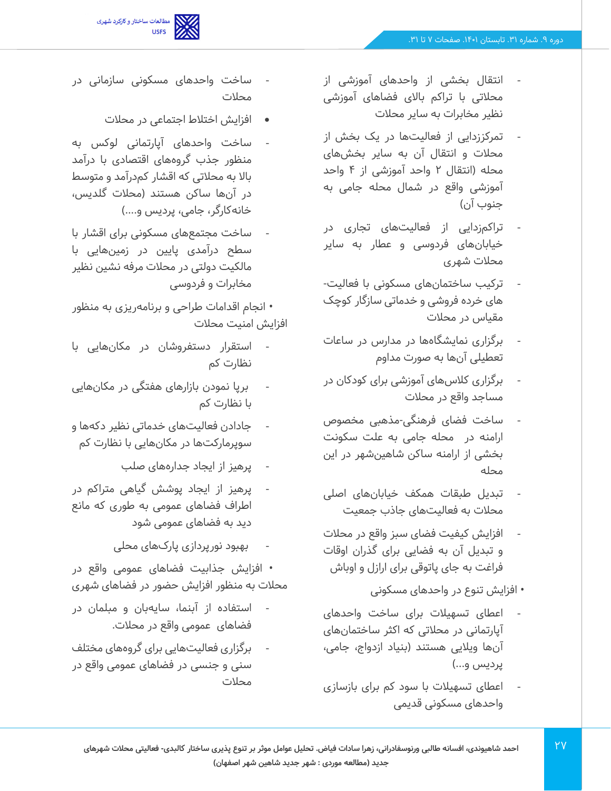

- انتقال بخشی از واحدهای آموزشی از محالتی با تراکم باالی فضاهای آموزشی نظیر مخابرات به سایر محالت
- تمرکززدایی از فعالیتها در یک بخش از محالت و انتقال آن به سایر بخش های محله )انتقال 2 واحد آموزشی از 4 واحد آموزشی واقع در شمال محله جامی به جنوب آن(
- تراکم زدایی از فعالیت های تجاری در خیابانهای فردوسی و عطار به سایر محالت شهری
- ترکیب ساختمانهای مسکونی با فعالیت- های خرده فروشی و خدماتی سازگار کوچک مقیاس در محالت
- برگزاری نمایشگاهها در مدارس در ساعات تعطیلی آن ها به صورت مداوم
- برگزاری کالسهای آموزشی برای کودکان در مساجد واقع در محالت
- ساخت فضای فرهنگی -مذهبی مخصوص ارامنه در محله جامی به علت سکونت بخشی از ارامنه ساکن شاهینشهر در این محله
- تبدیل طبقات همکف خیابانهای اصلی محالت به فعالیتهای جاذب جمعیت
- افزایش کیفیت فضای سبز واقع در محالت و تبدیل آن به فضایی برای گذران اوقات فراغت به جای پاتوقی برای ارازل و اوباش
	- افزایش تنوع در واحدهای مسکونی
- اعطای تسهیالت برای ساخت واحدهای آپارتمانی در محالتی که اکثر ساختمانهای آنها ویالیی هستند )بنیاد ازدواج، جامی، پردیس و...)
- اعطای تسهیالت با سود کم برای بازسازی واحدهای مسکونی قدیمی
- ساخت واحدهای مسکونی سازمانی در محالت
	- افزایش اختالط اجتماعی در محالت
- ساخت واحدهای آپارتمانی لوکس به منظور جذب گروههای اقتصادی با درآمد باال به محالتی که اقشار کمدرآمد و متوسط در آنها ساکن هستند (محلات گلدیس، خانهکارگر، جامی، پردیس و....)
- ساخت مجتمعهای مسکونی برای اقشار با سطح درآمدی پایین در زمینهایی با مالکیت دولتی در محالت مرفه نشین نظیر مخابرات و فردوسی

• انجام اقدامات طراحی و برنامهریزی به منظور افزایش امنیت محالت

- استقرار دستفروشان در مکانهایی با نظارت کم
- برپا نمودن بازارهای هفتگی در مکانهایی با نظارت کم
- جادادن فعالیتهای خدماتی نظیر دکهها و سوپرمارکتها در مکان هایی با نظارت کم
	- پرهیز از ایجاد جدارههای صلب
- پرهیز از ایجاد پوشش گیاهی متراکم در اطراف فضاهای عمومی به طوری که مانع دید به فضاهای عمومی شود
	- بهبود نورپردازی پارک های محلی

• افزایش جذابیت فضاهای عمومی واقع در محالت به منظور افزایش حضور در فضاهای شهری

- استفاده از آبنما، سایهبان و مبلمان در فضاهای عمومی واقع در محالت.
- برگزاری فعالیتهایی برای گروههای مختلف سنی و جنسی در فضاهای عمومی واقع در محالت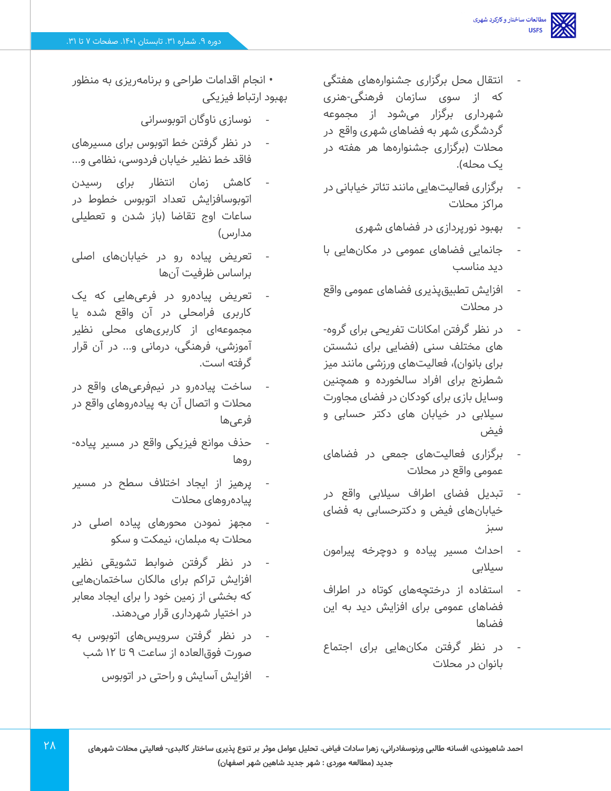- انتقال محل برگزاری جشنوارههای هفتگی که از سوی سازمان فرهنگی -هنری شهرداری برگزار میشود از مجموعه گردشگری شهر به فضاهای شهری واقع در محالت )برگزاری جشنوارهها هر هفته در یک محله).
- برگزاری فعالیتهایی مانند تئاتر خیابانی در مراکز محالت
	- بهبود نورپردازی در فضاهای شهری
- جانمایی فضاهای عمومی در مکان هایی با دید مناسب
- افزایش تطبیقپذیری فضاهای عمومی واقع در محالت
- در نظر گرفتن امکانات تفریحی برای گروه- های مختلف سنی )فضایی برای نشستن برای بانوان)، فعالیتهای ورزشی مانند میز شطرنج برای افراد سالخورده و همچنین وسایل بازی برای کودکان در فضای مجاورت سیالبی در خیابان های دکتر حسابی و فیض
- برگزاری فعالیت های جمعی در فضاهای عمومی واقع در محالت
- تبدیل فضای اطراف سیالبی واقع در خیابانهای فیض و دکترحسابی به فضای سبز
- احداث مسیر پیاده و دوچرخه پیرامون سیالبی
- استفاده از درختچههای کوتاه در اطراف فضاهای عمومی برای افزایش دید به این فضاها
- در نظر گرفتن مکان هایی برای اجتماع بانوان در محالت

• انجام اقدامات طراحی و برنامهریزی به منظور بهبود ارتباط فیزیکی

- نوسازی ناوگان اتوبوسرانی
- در نظر گرفتن خط اتوبوس برای مسیرهای فاقد خط نظیر خیابان فردوسی، نظامی و...
- کاهش زمان انتظار برای رسیدن اتوبوسافزایش تعداد اتوبوس خطوط در ساعات اوج تقاضا )باز شدن و تعطیلی مدارس(
- تعریض پیاده رو در خیابانهای اصلی براساس ظرفیت آن ها
- تعریض پیادهرو در فرعی هایی که یک کاربری فرامحلی در آن واقع شده یا مجموعهای از کاربریهای محلی نظیر آموزشی، فرهنگی، درمانی و... در آن قرار گرفته است.
- ساخت پیادهرو در نیمفرعیهای واقع در محالت و اتصال آن به پیادهروهای واقع در فرعی ها
- حذف موانع فیزیکی واقع در مسیر پیاده- ر وها
- پرهیز از ایجاد اختالف سطح در مسیر پیادهروهای محالت
- مجهز نمودن محورهای پیاده اصلی در محالت به مبلمان، نیمکت و سکو
- در نظر گرفتن ضوابط تشویقی نظیر افزایش تراکم برای مالکان ساختمانهایی که بخشی از زمین خود را برای ایجاد معابر در اختیار شهرداری قرار میدهند.
- در نظر گرفتن سرویس های اتوبوس به صورت فوقالعاده از ساعت 9 تا 12 شب
	- افزایش آسایش و راحتی در اتوبوس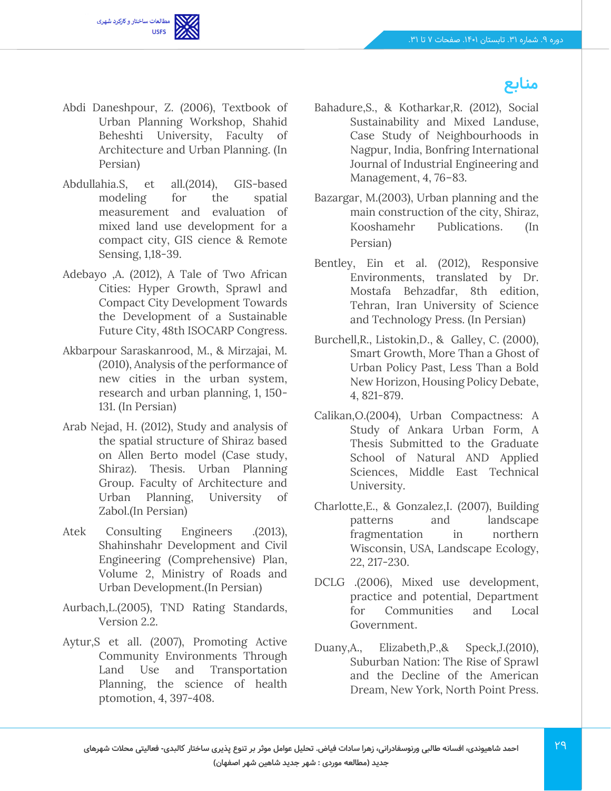

## **منابع**

- Abdi Daneshpour, Z. (2006), Textbook of Urban Planning Workshop, Shahid Beheshti University, Faculty of Architecture and Urban Planning. (In Persian)
- Abdullahia.S, et all.(2014), GIS-based modeling for the spatial measurement and evaluation of mixed land use development for a compact city, GIS cience & Remote Sensing, 1,18-39.
- Adebayo ,A. (2012), A Tale of Two African Cities: Hyper Growth, Sprawl and Compact City Development Towards the Development of a Sustainable Future City, 48th ISOCARP Congress.
- Akbarpour Saraskanrood, M., & Mirzajai, M. (2010), Analysis of the performance of new cities in the urban system, research and urban planning, 1, 150- 131. (In Persian)
- Arab Nejad, H. (2012), Study and analysis of the spatial structure of Shiraz based on Allen Berto model (Case study, Shiraz). Thesis. Urban Planning Group. Faculty of Architecture and Urban Planning, University of Zabol.(In Persian)
- Atek Consulting Engineers .(2013), Shahinshahr Development and Civil Engineering (Comprehensive) Plan, Volume 2, Ministry of Roads and Urban Development.(In Persian)
- Aurbach,L.(2005), TND Rating Standards, Version 2.2.
- Aytur,S et all. (2007), Promoting Active Community Environments Through Land Use and Transportation Planning, the science of health ptomotion, 4, 397-408.
- Bahadure,S., & Kotharkar,R. (2012), Social Sustainability and Mixed Landuse, Case Study of Neighbourhoods in Nagpur, India, Bonfring International Journal of Industrial Engineering and Management, 4, 76–83.
- Bazargar, M.(2003), Urban planning and the main construction of the city, Shiraz, Kooshamehr Publications. (In Persian)
- Bentley, Ein et al. (2012), Responsive Environments, translated by Dr. Mostafa Behzadfar, 8th edition, Tehran, Iran University of Science and Technology Press. (In Persian)
- Burchell,R., Listokin,D., & Galley, C. (2000), Smart Growth, More Than a Ghost of Urban Policy Past, Less Than a Bold New Horizon, Housing Policy Debate, 4, 821-879.
- Calikan,O.(2004), Urban Compactness: A Study of Ankara Urban Form, A Thesis Submitted to the Graduate School of Natural AND Applied Sciences, Middle East Technical University.
- Charlotte,E., & Gonzalez,I. (2007), Building patterns and landscape fragmentation in northern Wisconsin, USA, Landscape Ecology, 22, 217-230.
- DCLG .(2006), Mixed use development, practice and potential, Department for Communities and Local Government.
- Duany,A., Elizabeth,P.,& Speck,J.(2010), Suburban Nation: The Rise of Sprawl and the Decline of the American Dream, New York, North Point Press.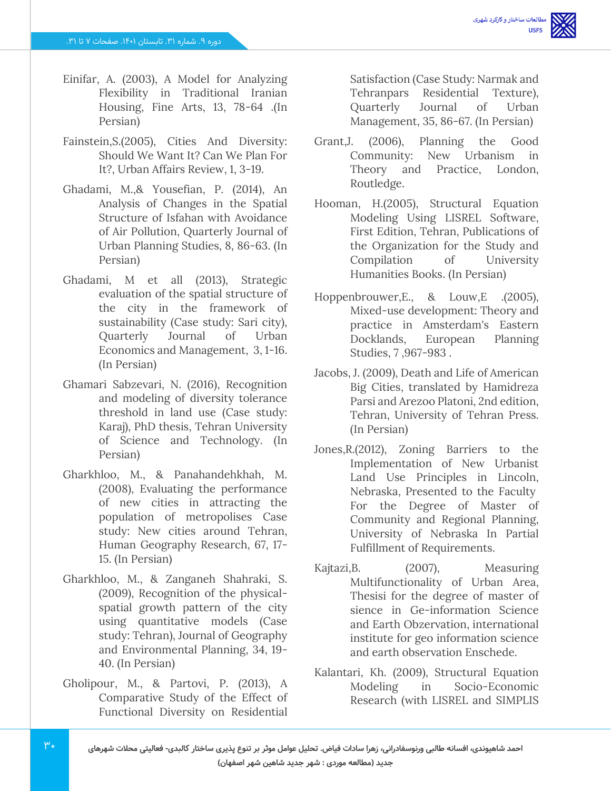- Einifar, A. (2003), A Model for Analyzing Flexibility in Traditional Iranian Housing, Fine Arts, 13, 78-64 .(In Persian)
- Fainstein,S.(2005), Cities And Diversity: Should We Want It? Can We Plan For It?, Urban Affairs Review, 1, 3-19.
- Ghadami, M.,& Yousefian, P. (2014), An Analysis of Changes in the Spatial Structure of Isfahan with Avoidance of Air Pollution, Quarterly Journal of Urban Planning Studies, 8, 86-63. (In Persian)
- Ghadami, M et all (2013), Strategic evaluation of the spatial structure of the city in the framework of sustainability (Case study: Sari city), Quarterly Journal of Urban Economics and Management, 3, 1-16. (In Persian)
- Ghamari Sabzevari, N. (2016), Recognition and modeling of diversity tolerance threshold in land use (Case study: Karaj), PhD thesis, Tehran University of Science and Technology. (In Persian)
- Gharkhloo, M., & Panahandehkhah, M. (2008), Evaluating the performance of new cities in attracting the population of metropolises Case study: New cities around Tehran, Human Geography Research, 67, 17- 15. (In Persian)
- Gharkhloo, M., & Zanganeh Shahraki, S. (2009), Recognition of the physicalspatial growth pattern of the city using quantitative models (Case study: Tehran), Journal of Geography and Environmental Planning, 34, 19- 40. (In Persian)
- Gholipour, M., & Partovi, P. (2013), A Comparative Study of the Effect of Functional Diversity on Residential

Satisfaction (Case Study: Narmak and Tehranpars Residential Texture), Quarterly Journal of Urban Management, 35, 86-67. (In Persian)

- Grant,J. (2006), Planning the Good Community: New Urbanism in Theory and Practice, London, Routledge.
- Hooman, H.(2005), Structural Equation Modeling Using LISREL Software, First Edition, Tehran, Publications of the Organization for the Study and Compilation of University Humanities Books. (In Persian)
- Hoppenbrouwer,E., & Louw,E .(2005), Mixed-use development: Theory and practice in Amsterdam's Eastern Docklands, European Planning Studies, 7 ,967-983 .
- Jacobs, J. (2009), Death and Life of American Big Cities, translated by Hamidreza Parsi and Arezoo Platoni, 2nd edition, Tehran, University of Tehran Press. (In Persian)
- Jones,R.(2012), Zoning Barriers to the Implementation of New Urbanist Land Use Principles in Lincoln, Nebraska, Presented to the Faculty For the Degree of Master of Community and Regional Planning, University of Nebraska In Partial Fulfillment of Requirements.
- Kajtazi, B. (2007), Measuring Multifunctionality of Urban Area, Thesisi for the degree of master of sience in Ge-information Science and Earth Obzervation, international institute for geo information science and earth observation Enschede.
- Kalantari, Kh. (2009), Structural Equation Modeling in Socio-Economic Research (with LISREL and SIMPLIS